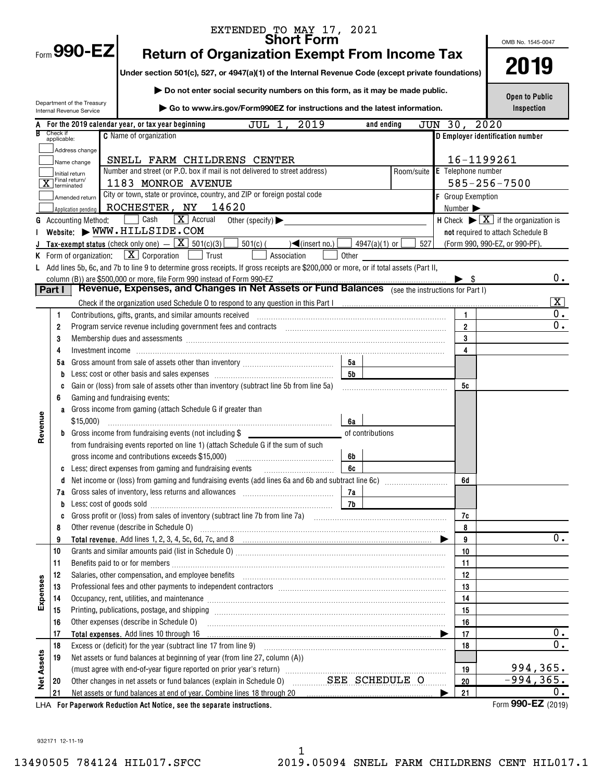|            |                         |                                                        | EXTENDED TO MAY 17, 2021<br><b>Short Form</b>                                                                                                                                                                |                |                               |         |                   |                                                                         |                  |
|------------|-------------------------|--------------------------------------------------------|--------------------------------------------------------------------------------------------------------------------------------------------------------------------------------------------------------------|----------------|-------------------------------|---------|-------------------|-------------------------------------------------------------------------|------------------|
|            |                         | Form $990$ -EZ                                         |                                                                                                                                                                                                              |                |                               |         |                   | OMB No. 1545-0047                                                       |                  |
|            |                         |                                                        | <b>Return of Organization Exempt From Income Tax</b>                                                                                                                                                         |                |                               |         |                   |                                                                         |                  |
|            |                         |                                                        | Under section 501(c), 527, or 4947(a)(1) of the Internal Revenue Code (except private foundations)                                                                                                           |                |                               |         |                   | 2019                                                                    |                  |
|            |                         |                                                        | Do not enter social security numbers on this form, as it may be made public.                                                                                                                                 |                |                               |         |                   | <b>Open to Public</b>                                                   |                  |
|            |                         | Department of the Treasury<br>Internal Revenue Service | ▶ Go to www.irs.gov/Form990EZ for instructions and the latest information.                                                                                                                                   |                |                               |         |                   | Inspection                                                              |                  |
|            |                         |                                                        | 2019<br>JUL 1,<br>For the 2019 calendar year, or tax year beginning                                                                                                                                          |                | and ending                    | JUN 30, |                   | 2020                                                                    |                  |
|            | Check if<br>applicable: |                                                        | <b>C</b> Name of organization                                                                                                                                                                                |                |                               |         |                   | D Employer identification number                                        |                  |
|            |                         | Address change                                         |                                                                                                                                                                                                              |                |                               |         |                   |                                                                         |                  |
|            |                         | Name change                                            | SNELL FARM CHILDRENS CENTER                                                                                                                                                                                  |                |                               |         |                   | 16-1199261                                                              |                  |
|            |                         | Initial return                                         | Number and street (or P.O. box if mail is not delivered to street address)                                                                                                                                   |                | Room/suite E Telephone number |         |                   |                                                                         |                  |
|            |                         | Final return/<br>terminated                            | 1183 MONROE AVENUE                                                                                                                                                                                           |                |                               |         |                   | $585 - 256 - 7500$                                                      |                  |
|            |                         | Amended return                                         | City or town, state or province, country, and ZIP or foreign postal code                                                                                                                                     |                |                               |         | F Group Exemption |                                                                         |                  |
|            |                         | Application pending                                    | ROCHESTER, NY 14620                                                                                                                                                                                          |                |                               |         | Number >          |                                                                         |                  |
| G          |                         | <b>Accounting Method:</b>                              | Cash<br>$\boxed{\mathbf{X}}$ Accrual<br>Other (specify) $\blacktriangleright$                                                                                                                                |                |                               |         |                   | H Check $\blacktriangleright \boxed{\mathbf{X}}$ if the organization is |                  |
|            |                         |                                                        | Website: WWW.HILLSIDE.COM                                                                                                                                                                                    |                |                               |         |                   | not required to attach Schedule B                                       |                  |
|            |                         |                                                        | <b>Tax-exempt status</b> (check only one) $ \boxed{\mathbf{X}}$ 501(c)(3)<br>$501(c)$ (<br>$\sqrt{\frac{2}{1}}$ (insert no.)                                                                                 |                | 4947(a)(1) or $\lfloor$       | 527     |                   | (Form 990, 990-EZ, or 990-PF).                                          |                  |
|            |                         |                                                        | <b>K</b> Form of organization: $X \cdot \text{Corporation}$ $\Box$ Trust<br>Association                                                                                                                      | Other          |                               |         |                   |                                                                         |                  |
|            |                         |                                                        | L Add lines 5b, 6c, and 7b to line 9 to determine gross receipts. If gross receipts are \$200,000 or more, or if total assets (Part II,                                                                      |                |                               |         |                   |                                                                         |                  |
|            | <b>Part I</b>           |                                                        | column (B)) are \$500,000 or more, file Form 990 instead of Form 990-EZ<br>Revenue, Expenses, and Changes in Net Assets or Fund Balances (see the instructions for Part I)                                   |                |                               |         | - \$              |                                                                         | 0.               |
|            |                         |                                                        |                                                                                                                                                                                                              |                |                               |         |                   |                                                                         | $\mathbf{X}$     |
|            | 1                       |                                                        | Contributions, gifts, grants, and similar amounts received                                                                                                                                                   |                |                               |         | 1                 |                                                                         | 0.               |
|            | 2                       |                                                        | Program service revenue including government fees and contracts [11] matter contracts [11] program service revenue including government fees and contracts [11] matter contracts and contracts [11] $\alpha$ |                |                               |         | $\overline{2}$    |                                                                         | 0.               |
|            | 3                       |                                                        | Membership dues and assessments [111] Membership dues and assessments [11] Membership dues and assessments [11                                                                                               |                |                               |         | 3                 |                                                                         |                  |
|            | 4                       |                                                        |                                                                                                                                                                                                              |                |                               |         | 4                 |                                                                         |                  |
|            | 5а                      |                                                        |                                                                                                                                                                                                              | 5а             |                               |         |                   |                                                                         |                  |
|            | b                       |                                                        |                                                                                                                                                                                                              | 5 <sub>b</sub> |                               |         |                   |                                                                         |                  |
|            | C                       |                                                        | Gain or (loss) from sale of assets other than inventory (subtract line 5b from line 5a)                                                                                                                      |                |                               |         | 5c                |                                                                         |                  |
|            | 6                       |                                                        | Gaming and fundraising events:                                                                                                                                                                               |                |                               |         |                   |                                                                         |                  |
|            | a                       |                                                        | Gross income from gaming (attach Schedule G if greater than                                                                                                                                                  |                |                               |         |                   |                                                                         |                  |
|            |                         |                                                        |                                                                                                                                                                                                              | 6a             |                               |         |                   |                                                                         |                  |
| Revenue    | b                       |                                                        | Gross income from fundraising events (not including \$                                                                                                                                                       |                | of contributions              |         |                   |                                                                         |                  |
|            |                         |                                                        | from fundraising events reported on line 1) (attach Schedule G if the sum of such                                                                                                                            |                |                               |         |                   |                                                                         |                  |
|            |                         |                                                        | gross income and contributions exceeds \$15,000) manufactured in the substitution of the state of the state of                                                                                               | 6b             |                               |         |                   |                                                                         |                  |
|            |                         |                                                        | $\frac{1}{6c}$                                                                                                                                                                                               |                |                               |         |                   |                                                                         |                  |
|            | d                       |                                                        | Net income or (loss) from gaming and fundraising events (add lines 6a and 6b and subtract line 6c) <i>manumumum</i>                                                                                          |                |                               |         | 6d                |                                                                         |                  |
|            | 7а                      |                                                        |                                                                                                                                                                                                              | 7a             |                               |         |                   |                                                                         |                  |
|            | b                       |                                                        |                                                                                                                                                                                                              | 7b             |                               |         |                   |                                                                         |                  |
|            | C                       |                                                        |                                                                                                                                                                                                              |                |                               |         | 7c                |                                                                         |                  |
|            | 8                       |                                                        |                                                                                                                                                                                                              |                |                               |         | 8                 |                                                                         |                  |
|            | 9                       |                                                        |                                                                                                                                                                                                              |                |                               |         | 9                 |                                                                         | 0.               |
|            | 10<br>11                |                                                        |                                                                                                                                                                                                              |                |                               |         | 10<br>11          |                                                                         |                  |
|            | 12                      |                                                        |                                                                                                                                                                                                              |                |                               |         | 12                |                                                                         |                  |
|            | 13                      |                                                        |                                                                                                                                                                                                              |                |                               |         | 13                |                                                                         |                  |
| Expenses   | 14                      |                                                        | Occupancy, rent, utilities, and maintenance manufactured and accuration of the state in the manufacture of the                                                                                               |                |                               |         | 14                |                                                                         |                  |
|            | 15                      |                                                        |                                                                                                                                                                                                              |                |                               |         | 15                |                                                                         |                  |
|            | 16                      |                                                        | Other expenses (describe in Schedule O)                                                                                                                                                                      |                |                               |         | 16                |                                                                         |                  |
|            | 17                      |                                                        |                                                                                                                                                                                                              |                |                               |         | 17                |                                                                         | $0$ .            |
|            | 18                      |                                                        |                                                                                                                                                                                                              |                |                               |         | 18                |                                                                         | $0$ .            |
|            | 19                      |                                                        | Net assets or fund balances at beginning of year (from line 27, column (A))                                                                                                                                  |                |                               |         |                   |                                                                         |                  |
| Net Assets |                         |                                                        |                                                                                                                                                                                                              |                |                               |         | 19                | 994,365.                                                                |                  |
|            | 20                      |                                                        | Other changes in net assets or fund balances (explain in Schedule 0) SEE SCHEDULE O                                                                                                                          |                |                               |         | 20                | $-994, 365.$                                                            |                  |
|            | 21                      |                                                        | Net assets or fund balances at end of year. Combine lines 18 through 20 [11, 12, 13, 13, 13, 13, 13, 13, 13, 1                                                                                               |                |                               |         | 21                |                                                                         | $\overline{0}$ . |
|            |                         |                                                        | LHA For Paperwork Reduction Act Notice, see the separate instructions.                                                                                                                                       |                |                               |         |                   | Form 990-EZ (2019)                                                      |                  |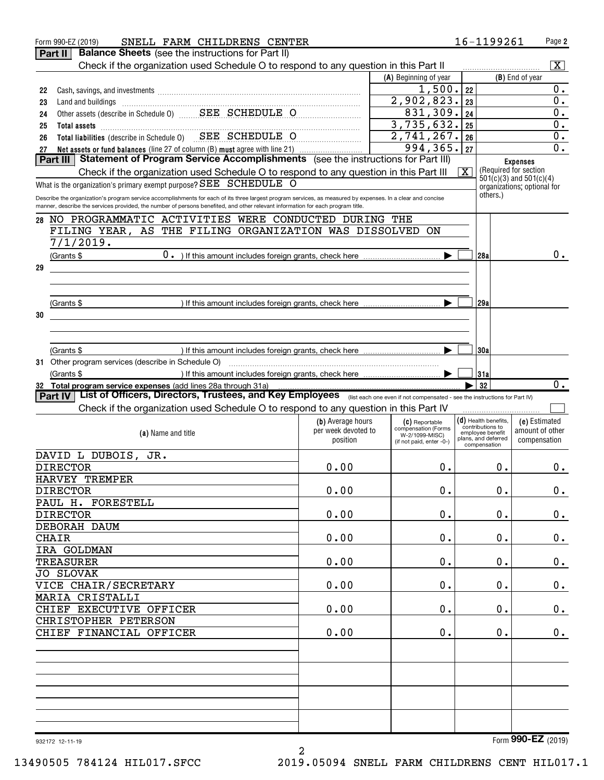| Form 990-EZ (2019)<br>Part II                                 | SNELL FARM CHILDRENS CENTER<br><b>Balance Sheets</b> (see the instructions for Part II)                                                                         |                     |                                            |                         | 16-1199261                           | Page 2                                    |
|---------------------------------------------------------------|-----------------------------------------------------------------------------------------------------------------------------------------------------------------|---------------------|--------------------------------------------|-------------------------|--------------------------------------|-------------------------------------------|
|                                                               |                                                                                                                                                                 |                     |                                            |                         |                                      |                                           |
|                                                               | Check if the organization used Schedule O to respond to any question in this Part II                                                                            |                     |                                            |                         |                                      | $\overline{\mathbf{x}}$                   |
|                                                               |                                                                                                                                                                 |                     | (A) Beginning of year                      |                         |                                      | (B) End of year                           |
| 22                                                            |                                                                                                                                                                 |                     | 1,500.                                     | 22                      |                                      | 0.                                        |
| 23                                                            |                                                                                                                                                                 |                     | 2,902,823.                                 | 23                      |                                      | $0$ .                                     |
| 24                                                            | Other assets (describe in Schedule 0) _______ SEE SCHEDULE O                                                                                                    |                     | 831,309.                                   | 24                      |                                      | 0.                                        |
| 25                                                            | Total assets <b>continuous continuous continuous continuous</b> continuous continuous continuous continuous continuous                                          |                     | 3,735,632.                                 | 25                      |                                      | 0.                                        |
| 26                                                            | Total liabilities (describe in Schedule 0) SEE SCHEDULE O                                                                                                       |                     | 2,741,267.                                 | 26                      |                                      | 0.                                        |
|                                                               |                                                                                                                                                                 |                     | 994,365.                                   | 27                      |                                      | 0.                                        |
| 27<br><b>Part III</b>                                         | Net assets or fund balances (line 27 of column (B) must agree with line 21)<br>Statement of Program Service Accomplishments (see the instructions for Part III) |                     |                                            |                         |                                      |                                           |
|                                                               |                                                                                                                                                                 |                     |                                            |                         |                                      | <b>Expenses</b><br>(Required for section) |
|                                                               | Check if the organization used Schedule O to respond to any question in this Part III                                                                           |                     |                                            | $\overline{\mathbf{X}}$ |                                      | $501(c)(3)$ and $501(c)(4)$               |
|                                                               | What is the organization's primary exempt purpose? SEE SCHEDULE O                                                                                               |                     |                                            |                         |                                      | organizations; optional for               |
|                                                               | Describe the organization's program service accomplishments for each of its three largest program services, as measured by expenses. In a clear and concise     |                     |                                            |                         | others.)                             |                                           |
|                                                               | manner, describe the services provided, the number of persons benefited, and other relevant information for each program title.                                 |                     |                                            |                         |                                      |                                           |
| 28                                                            | NO PROGRAMMATIC ACTIVITIES WERE CONDUCTED DURING THE                                                                                                            |                     |                                            |                         |                                      |                                           |
|                                                               | FILING YEAR, AS THE FILING ORGANIZATION WAS DISSOLVED ON                                                                                                        |                     |                                            |                         |                                      |                                           |
| 7/1/2019.                                                     |                                                                                                                                                                 |                     |                                            |                         |                                      |                                           |
|                                                               |                                                                                                                                                                 |                     |                                            |                         |                                      | $0 \cdot$                                 |
| (Grants \$                                                    |                                                                                                                                                                 |                     |                                            |                         | 128a I                               |                                           |
| 29                                                            |                                                                                                                                                                 |                     |                                            |                         |                                      |                                           |
|                                                               |                                                                                                                                                                 |                     |                                            |                         |                                      |                                           |
|                                                               |                                                                                                                                                                 |                     |                                            |                         |                                      |                                           |
| (Grants \$                                                    |                                                                                                                                                                 |                     |                                            |                         | 129al                                |                                           |
| 30                                                            |                                                                                                                                                                 |                     |                                            |                         |                                      |                                           |
|                                                               |                                                                                                                                                                 |                     |                                            |                         |                                      |                                           |
|                                                               |                                                                                                                                                                 |                     |                                            |                         |                                      |                                           |
|                                                               |                                                                                                                                                                 |                     |                                            |                         | 30a                                  |                                           |
| (Grants \$                                                    |                                                                                                                                                                 |                     |                                            |                         |                                      |                                           |
| 31 Other program services (describe in Schedule O)            |                                                                                                                                                                 |                     |                                            |                         |                                      |                                           |
| (Grants \$                                                    |                                                                                                                                                                 |                     |                                            |                         | 31a                                  |                                           |
| 32 Total program service expenses (add lines 28a through 31a) | List of Officers, Directors, Trustees, and Key Employees (list each one even if not compensated - see the instructions for Part IV)                             |                     |                                            |                         | 32                                   | $\overline{0}$ .                          |
| <b>Part IV</b>                                                |                                                                                                                                                                 |                     |                                            |                         |                                      |                                           |
|                                                               |                                                                                                                                                                 |                     |                                            |                         |                                      |                                           |
|                                                               | Check if the organization used Schedule O to respond to any question in this Part IV                                                                            |                     |                                            |                         |                                      |                                           |
|                                                               |                                                                                                                                                                 | (b) Average hours   | (C) Reportable                             |                         | $(d)$ Health benefits,               | (e) Estimated                             |
|                                                               | (a) Name and title                                                                                                                                              | per week devoted to | compensation (Forms                        |                         | contributions to<br>employee benefit | amount of other                           |
|                                                               |                                                                                                                                                                 | position            | W-2/1099-MISC)<br>(if not paid, enter -0-) |                         | plans, and deferred<br>compensation  | compensation                              |
|                                                               |                                                                                                                                                                 |                     |                                            |                         |                                      |                                           |
| DAVID L DUBOIS,                                               | JR.                                                                                                                                                             |                     |                                            |                         |                                      |                                           |
| <b>DIRECTOR</b>                                               |                                                                                                                                                                 | 0.00                | $0$ .                                      |                         | $0$ .                                | $0 \cdot$                                 |
| HARVEY TREMPER                                                |                                                                                                                                                                 |                     |                                            |                         |                                      |                                           |
| <b>DIRECTOR</b>                                               |                                                                                                                                                                 | 0.00                | $0$ .                                      |                         | $0$ .                                | $0_{.}$                                   |
| PAUL H. FORESTELL                                             |                                                                                                                                                                 |                     |                                            |                         |                                      |                                           |
| <b>DIRECTOR</b>                                               |                                                                                                                                                                 | 0.00                | $\mathbf 0$ .                              |                         | $\mathbf 0$ .                        | $0_{.}$                                   |
| DEBORAH DAUM                                                  |                                                                                                                                                                 |                     |                                            |                         |                                      |                                           |
| <b>CHAIR</b>                                                  |                                                                                                                                                                 | 0.00                | $\mathbf 0$ .                              |                         | 0.                                   |                                           |
| IRA GOLDMAN                                                   |                                                                                                                                                                 |                     |                                            |                         |                                      | $0_{.}$                                   |
|                                                               |                                                                                                                                                                 |                     |                                            |                         |                                      |                                           |
| <b>TREASURER</b>                                              |                                                                                                                                                                 | 0.00                | $\mathbf 0$ .                              |                         | 0.                                   | $0_{.}$                                   |
| <b>JO SLOVAK</b>                                              |                                                                                                                                                                 |                     |                                            |                         |                                      |                                           |
| VICE CHAIR/SECRETARY                                          |                                                                                                                                                                 | 0.00                | $\mathbf 0$ .                              |                         | $\mathbf 0$ .                        | $0_{.}$                                   |
| <b>MARIA CRISTALLI</b>                                        |                                                                                                                                                                 |                     |                                            |                         |                                      |                                           |
| CHIEF EXECUTIVE OFFICER                                       |                                                                                                                                                                 | 0.00                | $\mathbf 0$ .                              |                         | 0.                                   | $0_{.}$                                   |
| CHRISTOPHER PETERSON                                          |                                                                                                                                                                 |                     |                                            |                         |                                      |                                           |
| CHIEF FINANCIAL OFFICER                                       |                                                                                                                                                                 | 0.00                | $\mathbf 0$ .                              |                         | 0.                                   | 0.                                        |
|                                                               |                                                                                                                                                                 |                     |                                            |                         |                                      |                                           |
|                                                               |                                                                                                                                                                 |                     |                                            |                         |                                      |                                           |
|                                                               |                                                                                                                                                                 |                     |                                            |                         |                                      |                                           |
|                                                               |                                                                                                                                                                 |                     |                                            |                         |                                      |                                           |
|                                                               |                                                                                                                                                                 |                     |                                            |                         |                                      |                                           |
|                                                               |                                                                                                                                                                 |                     |                                            |                         |                                      |                                           |
|                                                               |                                                                                                                                                                 |                     |                                            |                         |                                      |                                           |
|                                                               |                                                                                                                                                                 |                     |                                            |                         |                                      |                                           |
|                                                               |                                                                                                                                                                 |                     |                                            |                         |                                      |                                           |
| 932172 12-11-19                                               |                                                                                                                                                                 | $\overline{a}$      |                                            |                         |                                      | Form 990-EZ (2019)                        |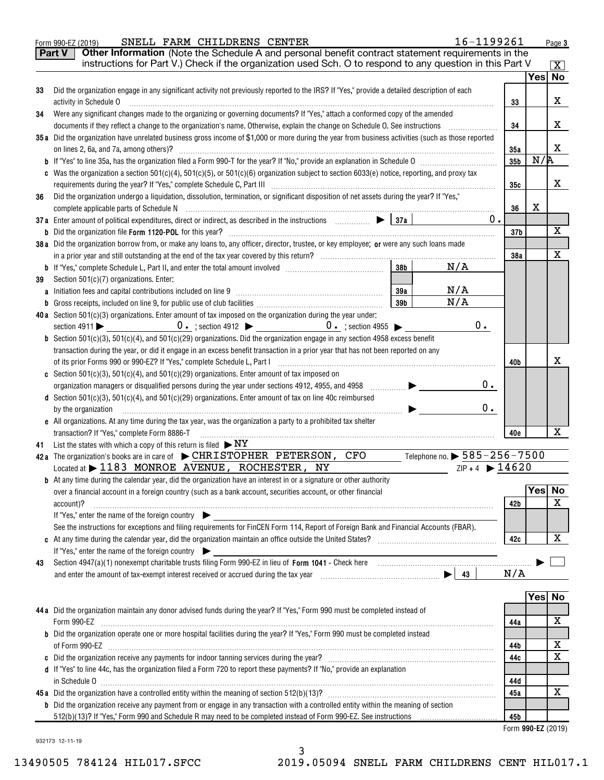|    | 16-1199261<br>SNELL FARM CHILDRENS CENTER<br>Form 990-EZ (2019)                                                                                                                                                                |                    |     | Page 3      |
|----|--------------------------------------------------------------------------------------------------------------------------------------------------------------------------------------------------------------------------------|--------------------|-----|-------------|
|    | Other Information (Note the Schedule A and personal benefit contract statement requirements in the<br>Part V                                                                                                                   |                    |     |             |
|    | instructions for Part V.) Check if the organization used Sch. O to respond to any question in this Part V                                                                                                                      |                    |     | X           |
|    |                                                                                                                                                                                                                                |                    |     | Yes No      |
| 33 | Did the organization engage in any significant activity not previously reported to the IRS? If "Yes," provide a detailed description of each                                                                                   |                    |     |             |
|    | activity in Schedule O                                                                                                                                                                                                         | 33                 |     | x           |
| 34 | Were any significant changes made to the organizing or governing documents? If "Yes," attach a conformed copy of the amended                                                                                                   |                    |     |             |
|    | documents if they reflect a change to the organization's name. Otherwise, explain the change on Schedule O. See instructions                                                                                                   | 34                 |     | x           |
|    | 35a Did the organization have unrelated business gross income of \$1,000 or more during the year from business activities (such as those reported                                                                              |                    |     |             |
|    | on lines 2, 6a, and 7a, among others)?                                                                                                                                                                                         | 35a                |     | x           |
|    |                                                                                                                                                                                                                                | 35 <sub>b</sub>    | N/A |             |
|    | c Was the organization a section 501(c)(4), 501(c)(5), or 501(c)(6) organization subject to section 6033(e) notice, reporting, and proxy tax                                                                                   |                    |     |             |
|    |                                                                                                                                                                                                                                | 35с                |     | x           |
| 36 | Did the organization undergo a liquidation, dissolution, termination, or significant disposition of net assets during the year? If "Yes,"                                                                                      |                    |     |             |
|    |                                                                                                                                                                                                                                | 36                 | X   |             |
|    | 37a Enter amount of political expenditures, direct or indirect, as described in the instructions $\Box$<br>$0$ .                                                                                                               |                    |     |             |
|    |                                                                                                                                                                                                                                | 37b                |     | $\mathbf X$ |
|    | 38a Did the organization borrow from, or make any loans to, any officer, director, trustee, or key employee; or were any such loans made                                                                                       |                    |     | $\mathbf X$ |
|    | 38 <sub>b</sub><br>N/A                                                                                                                                                                                                         | 38a                |     |             |
|    | Section 501(c)(7) organizations. Enter:                                                                                                                                                                                        |                    |     |             |
| 39 | N/A<br>39a                                                                                                                                                                                                                     |                    |     |             |
|    | N/A<br>39b                                                                                                                                                                                                                     |                    |     |             |
|    | 40a Section $501(c)(3)$ organizations. Enter amount of tax imposed on the organization during the year under:                                                                                                                  |                    |     |             |
|    | $0$ .                                                                                                                                                                                                                          |                    |     |             |
|    | <b>b</b> Section 501(c)(3), 501(c)(4), and 501(c)(29) organizations. Did the organization engage in any section 4958 excess benefit                                                                                            |                    |     |             |
|    | transaction during the year, or did it engage in an excess benefit transaction in a prior year that has not been reported on any                                                                                               |                    |     |             |
|    |                                                                                                                                                                                                                                | 40b                |     | х           |
|    | c Section 501(c)(3), 501(c)(4), and 501(c)(29) organizations. Enter amount of tax imposed on                                                                                                                                   |                    |     |             |
|    | 0.                                                                                                                                                                                                                             |                    |     |             |
|    | d Section 501(c)(3), 501(c)(4), and 501(c)(29) organizations. Enter amount of tax on line 40c reimbursed                                                                                                                       |                    |     |             |
|    | 0.<br>by the organization                                                                                                                                                                                                      |                    |     |             |
|    | e All organizations. At any time during the tax year, was the organization a party to a prohibited tax shelter                                                                                                                 |                    |     |             |
|    | transaction? If "Yes," complete Form 8886-T                                                                                                                                                                                    | 40e                |     | х           |
|    | 41 List the states with which a copy of this return is filed $\triangleright$ NY                                                                                                                                               |                    |     |             |
|    | Telephone no. $\triangleright$ 585–256–7500<br>42a The organization's books are in care of $\blacktriangleright$ CHRISTOPHER PETERSON, CFO                                                                                     |                    |     |             |
|    | $ZIP + 4$ $\triangleright$ 14620<br>Located at $\blacktriangleright$ 1183 MONROE AVENUE, ROCHESTER, NY                                                                                                                         |                    |     |             |
|    | <b>b</b> At any time during the calendar year, did the organization have an interest in or a signature or other authority                                                                                                      |                    |     |             |
|    | over a financial account in a foreign country (such as a bank account, securities account, or other financial                                                                                                                  |                    |     | Yes No      |
|    | account)?                                                                                                                                                                                                                      | 42b                |     | X           |
|    | If "Yes," enter the name of the foreign country $\blacktriangleright$                                                                                                                                                          |                    |     |             |
|    | See the instructions for exceptions and filing requirements for FinCEN Form 114, Report of Foreign Bank and Financial Accounts (FBAR).                                                                                         |                    |     | X           |
|    | If "Yes," enter the name of the foreign country                                                                                                                                                                                | 42c                |     |             |
| 43 | Section 4947(a)(1) nonexempt charitable trusts filing Form 990-EZ in lieu of Form 1041 - Check here [10][11][11][11] nonexempt charitable trusts filing Form 990-EZ in lieu of Form 1041 - Check here [11][11] nonexempt chara |                    |     |             |
|    |                                                                                                                                                                                                                                | N/A                |     |             |
|    |                                                                                                                                                                                                                                |                    |     |             |
|    |                                                                                                                                                                                                                                |                    |     | Yes No      |
|    | 44a Did the organization maintain any donor advised funds during the year? If "Yes," Form 990 must be completed instead of                                                                                                     |                    |     |             |
|    |                                                                                                                                                                                                                                | 44a                |     | X           |
|    | <b>b</b> Did the organization operate one or more hospital facilities during the year? If "Yes," Form 990 must be completed instead                                                                                            |                    |     |             |
|    |                                                                                                                                                                                                                                | 44b                |     | х           |
|    |                                                                                                                                                                                                                                | 44c                |     | $\mathbf X$ |
|    | d If "Yes" to line 44c, has the organization filed a Form 720 to report these payments? If "No," provide an explanation                                                                                                        |                    |     |             |
|    |                                                                                                                                                                                                                                | 44d                |     |             |
|    |                                                                                                                                                                                                                                | 45a                |     | X           |
|    | <b>b</b> Did the organization receive any payment from or engage in any transaction with a controlled entity within the meaning of section                                                                                     |                    |     |             |
|    |                                                                                                                                                                                                                                | 45b                |     |             |
|    |                                                                                                                                                                                                                                | Form 990-EZ (2019) |     |             |
|    | 932173 12-11-19                                                                                                                                                                                                                |                    |     |             |

3

13490505 784124 HIL017.SFCC 2019.05094 SNELL FARM CHILDRENS CENT HIL017.1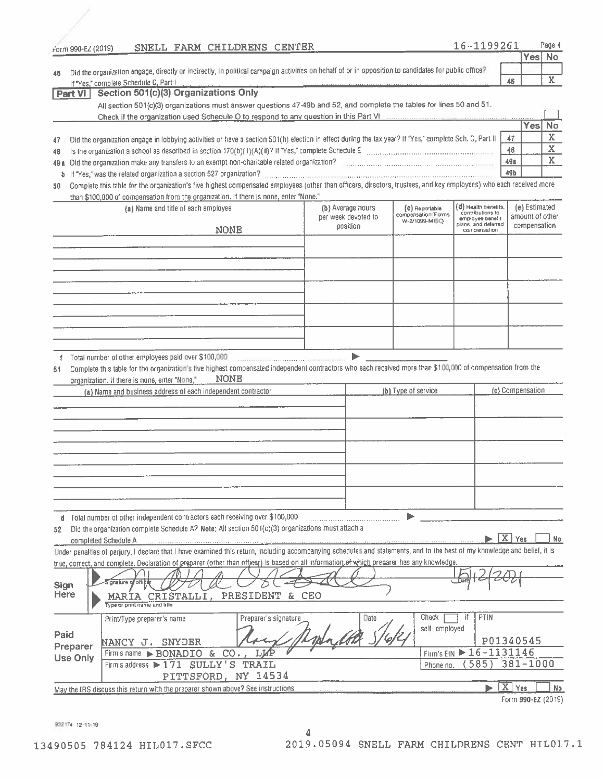| rorm 990-EZ (2019) | SNELL FARM CHILDRENS CENTER                                                                                                                                                |                       |                      |                     |                                       | 16-1199261                               |                    |                 | Page 4                  |
|--------------------|----------------------------------------------------------------------------------------------------------------------------------------------------------------------------|-----------------------|----------------------|---------------------|---------------------------------------|------------------------------------------|--------------------|-----------------|-------------------------|
|                    |                                                                                                                                                                            |                       |                      |                     |                                       |                                          |                    | Yes No          |                         |
| 46                 | Did the organization engage, directly or indirectly, in political campaign activities on behalf of or in opposition to candidates for public office?                       |                       |                      |                     |                                       |                                          |                    |                 |                         |
|                    | If "Yes," complete Schedule C, Part I                                                                                                                                      |                       |                      |                     |                                       |                                          | 46                 |                 | $\mathbf X$             |
| <b>Part VI</b>     | Section 501(c)(3) Organizations Only                                                                                                                                       |                       |                      |                     |                                       |                                          |                    |                 |                         |
|                    | All section 501(c)(3) organizations must answer questions 47-49b and 52, and complete the tables for lines 50 and 51.                                                      |                       |                      |                     |                                       |                                          |                    |                 |                         |
|                    |                                                                                                                                                                            |                       |                      |                     |                                       |                                          |                    |                 |                         |
|                    |                                                                                                                                                                            |                       |                      |                     |                                       |                                          |                    | Yes             | No                      |
| 47                 | Did the organization engage in lobbying activities or have a section 501(h) election in effect during the tax year? If "Yes," complete Sch. C, Part II                     |                       |                      |                     |                                       |                                          | 47                 |                 | $\overline{\mathbf{X}}$ |
| 48                 |                                                                                                                                                                            |                       |                      |                     |                                       |                                          | 48                 |                 | $\overline{\mathbf{X}}$ |
| 49 a               |                                                                                                                                                                            |                       |                      |                     |                                       |                                          | 49a                |                 | X                       |
| b.                 | If "Yes," was the related organization a section 527 organization?                                                                                                         |                       |                      |                     |                                       |                                          | 49b                |                 |                         |
| 50                 | Complete this table for the organization's five highest compensated employees (other than officers, directors, trustees, and key employees) who each received more         |                       |                      |                     |                                       |                                          |                    |                 |                         |
|                    | than \$100,000 of compensation from the organization. If there is none, enter "None."                                                                                      |                       |                      |                     |                                       |                                          |                    |                 |                         |
|                    | (a) Name and title of each employee                                                                                                                                        |                       |                      | (b) Average hours   | (C) Reportable                        | (d) Health benefits,<br>contributions to |                    | (e) Estimated   |                         |
|                    |                                                                                                                                                                            |                       |                      | per week devoted to | compensation (Forms<br>W-2/1099-MISC) | employee benefit                         |                    | amount of other |                         |
|                    |                                                                                                                                                                            | <b>NONE</b>           |                      | position            |                                       | plans, and deferred<br>compensation      |                    | compensation    |                         |
|                    |                                                                                                                                                                            |                       |                      |                     |                                       |                                          |                    |                 |                         |
|                    |                                                                                                                                                                            |                       |                      |                     |                                       |                                          |                    |                 |                         |
|                    |                                                                                                                                                                            |                       |                      |                     |                                       |                                          |                    |                 |                         |
|                    |                                                                                                                                                                            |                       |                      |                     |                                       |                                          |                    |                 |                         |
|                    |                                                                                                                                                                            |                       |                      |                     |                                       |                                          |                    |                 |                         |
|                    |                                                                                                                                                                            |                       |                      |                     |                                       |                                          |                    |                 |                         |
|                    |                                                                                                                                                                            |                       |                      |                     |                                       |                                          |                    |                 |                         |
|                    |                                                                                                                                                                            |                       |                      |                     |                                       |                                          |                    |                 |                         |
|                    |                                                                                                                                                                            |                       |                      |                     |                                       |                                          |                    |                 |                         |
|                    |                                                                                                                                                                            |                       |                      |                     |                                       |                                          |                    |                 |                         |
|                    | Total number of other employees paid over \$100,000 minimum control control of the material control of                                                                     |                       |                      |                     |                                       |                                          |                    |                 |                         |
|                    | organization. If there is none, enter "None,"<br>(a) Name and business address of each independent contractor                                                              |                       |                      |                     | (b) Type of service                   |                                          | (c) Compensation   |                 |                         |
|                    |                                                                                                                                                                            |                       |                      |                     |                                       |                                          |                    |                 |                         |
|                    |                                                                                                                                                                            |                       |                      |                     |                                       |                                          |                    |                 |                         |
|                    |                                                                                                                                                                            |                       |                      |                     |                                       |                                          |                    |                 |                         |
|                    |                                                                                                                                                                            |                       |                      |                     |                                       |                                          |                    |                 |                         |
|                    |                                                                                                                                                                            |                       |                      |                     |                                       |                                          |                    |                 |                         |
|                    | d Total number of other independent contractors each receiving over \$100,000 [11] [11] Total number of other independent contractors each receiving over \$100,000        |                       |                      |                     |                                       |                                          |                    |                 |                         |
| 52                 | Did the organization complete Schedule A? Note: All section 501(c)(3) organizations must attach a                                                                          |                       |                      |                     |                                       |                                          |                    |                 |                         |
|                    | completed Schedule A                                                                                                                                                       |                       |                      |                     |                                       |                                          | $\overline{X}$ Yes |                 | No.                     |
|                    | Under penalties of perjury, I declare that I have examined this return, including accompanying schedules and statements, and to the best of my knowledge and belief, it is |                       |                      |                     |                                       |                                          |                    |                 |                         |
|                    | true, correct, and complete. Declaration of preparer (other than officer) is based on all information of which preparer has any knowledge.                                 |                       |                      |                     |                                       |                                          |                    |                 |                         |
|                    |                                                                                                                                                                            |                       |                      |                     |                                       |                                          |                    |                 |                         |
| Sign               | ignature of office                                                                                                                                                         |                       |                      |                     |                                       |                                          |                    |                 |                         |
| <b>Here</b>        | <b>MARIA CRISTALLI,</b>                                                                                                                                                    | PRESIDENT & CEO       |                      |                     |                                       |                                          |                    |                 |                         |
|                    | Type or print name and title                                                                                                                                               |                       |                      |                     |                                       |                                          |                    |                 |                         |
|                    | Print/Type preparer's name                                                                                                                                                 |                       | Preparer's signature | Date                | Check                                 | <b>PTIN</b><br>if                        |                    |                 |                         |
|                    |                                                                                                                                                                            |                       |                      |                     | self-employed                         |                                          |                    |                 |                         |
| Paid               | NANCY J. SNYDER                                                                                                                                                            |                       |                      |                     |                                       | P01340545                                |                    |                 |                         |
| Preparer           | Firm's name $\triangleright$ BONADIO &                                                                                                                                     | $CO1$ ,<br><b>LKF</b> |                      |                     |                                       | Firm's EIN 16-1131146                    |                    |                 |                         |
| <b>Use Only</b>    | Firm's address > 171 SULLY'S TRAIL                                                                                                                                         |                       |                      |                     | Phone no.                             | 585)                                     | 381-1000           |                 |                         |
|                    |                                                                                                                                                                            |                       |                      |                     |                                       |                                          |                    |                 |                         |
|                    |                                                                                                                                                                            | PITTSFORD, NY 14534   |                      |                     |                                       |                                          | $\overline{X}$ Yes |                 |                         |
|                    | May the IRS discuss this return with the preparer shown above? See instructions                                                                                            |                       |                      |                     |                                       |                                          |                    |                 | No.                     |
|                    |                                                                                                                                                                            |                       |                      |                     |                                       |                                          | Form 990-EZ (2019) |                 |                         |

932174 12-11-19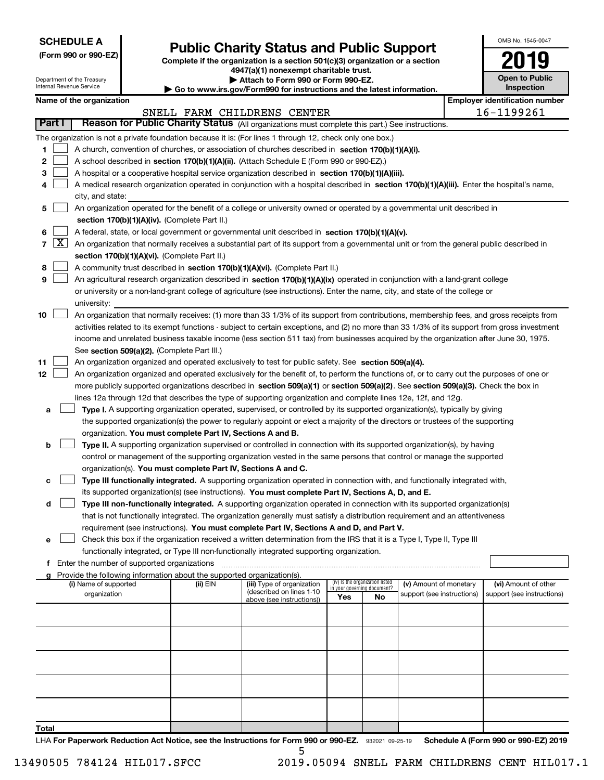| <b>SCHEDULE A</b> |
|-------------------|
|-------------------|

Department of the Treasury Internal Revenue Service

| (Form 990 or 990-EZ) |  |  |  |  |
|----------------------|--|--|--|--|
|----------------------|--|--|--|--|

# Public Charity Status and Public Support

Complete if the organization is a section 501(c)(3) organization or a section 4947(a)(1) nonexempt charitable trust.

| Attach to Form 990 or Form 990-EZ.

| Go to www.irs.gov/Form990 for instructions and the latest information.

| OMB No. 1545-0047     |
|-----------------------|
|                       |
|                       |
| <b>Open to Public</b> |
| Inspection            |

| Name of the organization |  |  |  |
|--------------------------|--|--|--|
|--------------------------|--|--|--|

|                |                             | Name of the organization                                                                                                                      |          |                                                        |                                                                |    |                            |            | <b>Employer identification number</b> |  |  |
|----------------|-----------------------------|-----------------------------------------------------------------------------------------------------------------------------------------------|----------|--------------------------------------------------------|----------------------------------------------------------------|----|----------------------------|------------|---------------------------------------|--|--|
|                | SNELL FARM CHILDRENS CENTER |                                                                                                                                               |          |                                                        |                                                                |    |                            | 16-1199261 |                                       |  |  |
| <b>Part I</b>  |                             | Reason for Public Charity Status (All organizations must complete this part.) See instructions.                                               |          |                                                        |                                                                |    |                            |            |                                       |  |  |
|                |                             | The organization is not a private foundation because it is: (For lines 1 through 12, check only one box.)                                     |          |                                                        |                                                                |    |                            |            |                                       |  |  |
| 1              |                             | A church, convention of churches, or association of churches described in section 170(b)(1)(A)(i).                                            |          |                                                        |                                                                |    |                            |            |                                       |  |  |
| 2              |                             | A school described in section 170(b)(1)(A)(ii). (Attach Schedule E (Form 990 or 990-EZ).)                                                     |          |                                                        |                                                                |    |                            |            |                                       |  |  |
| з              |                             | A hospital or a cooperative hospital service organization described in section 170(b)(1)(A)(iii).                                             |          |                                                        |                                                                |    |                            |            |                                       |  |  |
|                |                             | A medical research organization operated in conjunction with a hospital described in section 170(b)(1)(A)(iii). Enter the hospital's name,    |          |                                                        |                                                                |    |                            |            |                                       |  |  |
|                |                             | city, and state:                                                                                                                              |          |                                                        |                                                                |    |                            |            |                                       |  |  |
| 5              |                             | An organization operated for the benefit of a college or university owned or operated by a governmental unit described in                     |          |                                                        |                                                                |    |                            |            |                                       |  |  |
|                |                             | section 170(b)(1)(A)(iv). (Complete Part II.)                                                                                                 |          |                                                        |                                                                |    |                            |            |                                       |  |  |
| 6              |                             | A federal, state, or local government or governmental unit described in section 170(b)(1)(A)(v).                                              |          |                                                        |                                                                |    |                            |            |                                       |  |  |
| $\overline{7}$ | $\lfloor x \rfloor$         | An organization that normally receives a substantial part of its support from a governmental unit or from the general public described in     |          |                                                        |                                                                |    |                            |            |                                       |  |  |
|                |                             | section 170(b)(1)(A)(vi). (Complete Part II.)                                                                                                 |          |                                                        |                                                                |    |                            |            |                                       |  |  |
| 8              |                             | A community trust described in section 170(b)(1)(A)(vi). (Complete Part II.)                                                                  |          |                                                        |                                                                |    |                            |            |                                       |  |  |
| 9              |                             | An agricultural research organization described in section 170(b)(1)(A)(ix) operated in conjunction with a land-grant college                 |          |                                                        |                                                                |    |                            |            |                                       |  |  |
|                |                             | or university or a non-land-grant college of agriculture (see instructions). Enter the name, city, and state of the college or                |          |                                                        |                                                                |    |                            |            |                                       |  |  |
|                |                             | university:                                                                                                                                   |          |                                                        |                                                                |    |                            |            |                                       |  |  |
| 10             |                             | An organization that normally receives: (1) more than 33 1/3% of its support from contributions, membership fees, and gross receipts from     |          |                                                        |                                                                |    |                            |            |                                       |  |  |
|                |                             | activities related to its exempt functions - subject to certain exceptions, and (2) no more than 33 1/3% of its support from gross investment |          |                                                        |                                                                |    |                            |            |                                       |  |  |
|                |                             | income and unrelated business taxable income (less section 511 tax) from businesses acquired by the organization after June 30, 1975.         |          |                                                        |                                                                |    |                            |            |                                       |  |  |
|                |                             | See section 509(a)(2). (Complete Part III.)                                                                                                   |          |                                                        |                                                                |    |                            |            |                                       |  |  |
| 11             |                             | An organization organized and operated exclusively to test for public safety. See section 509(a)(4).                                          |          |                                                        |                                                                |    |                            |            |                                       |  |  |
| 12             |                             | An organization organized and operated exclusively for the benefit of, to perform the functions of, or to carry out the purposes of one or    |          |                                                        |                                                                |    |                            |            |                                       |  |  |
|                |                             | more publicly supported organizations described in section 509(a)(1) or section 509(a)(2). See section 509(a)(3). Check the box in            |          |                                                        |                                                                |    |                            |            |                                       |  |  |
|                |                             | lines 12a through 12d that describes the type of supporting organization and complete lines 12e, 12f, and 12g.                                |          |                                                        |                                                                |    |                            |            |                                       |  |  |
| а              |                             | Type I. A supporting organization operated, supervised, or controlled by its supported organization(s), typically by giving                   |          |                                                        |                                                                |    |                            |            |                                       |  |  |
|                |                             | the supported organization(s) the power to regularly appoint or elect a majority of the directors or trustees of the supporting               |          |                                                        |                                                                |    |                            |            |                                       |  |  |
|                |                             | organization. You must complete Part IV, Sections A and B.                                                                                    |          |                                                        |                                                                |    |                            |            |                                       |  |  |
| b              |                             | Type II. A supporting organization supervised or controlled in connection with its supported organization(s), by having                       |          |                                                        |                                                                |    |                            |            |                                       |  |  |
|                |                             | control or management of the supporting organization vested in the same persons that control or manage the supported                          |          |                                                        |                                                                |    |                            |            |                                       |  |  |
|                |                             | organization(s). You must complete Part IV, Sections A and C.                                                                                 |          |                                                        |                                                                |    |                            |            |                                       |  |  |
| с              |                             | Type III functionally integrated. A supporting organization operated in connection with, and functionally integrated with,                    |          |                                                        |                                                                |    |                            |            |                                       |  |  |
|                |                             | its supported organization(s) (see instructions). You must complete Part IV, Sections A, D, and E.                                            |          |                                                        |                                                                |    |                            |            |                                       |  |  |
| d              |                             | Type III non-functionally integrated. A supporting organization operated in connection with its supported organization(s)                     |          |                                                        |                                                                |    |                            |            |                                       |  |  |
|                |                             | that is not functionally integrated. The organization generally must satisfy a distribution requirement and an attentiveness                  |          |                                                        |                                                                |    |                            |            |                                       |  |  |
|                |                             | requirement (see instructions). You must complete Part IV, Sections A and D, and Part V.                                                      |          |                                                        |                                                                |    |                            |            |                                       |  |  |
| е              |                             | Check this box if the organization received a written determination from the IRS that it is a Type I, Type II, Type III                       |          |                                                        |                                                                |    |                            |            |                                       |  |  |
|                |                             | functionally integrated, or Type III non-functionally integrated supporting organization.                                                     |          |                                                        |                                                                |    |                            |            |                                       |  |  |
|                |                             | Enter the number of supported organizations                                                                                                   |          |                                                        |                                                                |    |                            |            |                                       |  |  |
|                |                             | Provide the following information about the supported organization(s).                                                                        |          |                                                        |                                                                |    |                            |            |                                       |  |  |
|                |                             | (i) Name of supported                                                                                                                         | (ii) EIN | (iii) Type of organization<br>(described on lines 1-10 | (iv) Is the organization listed<br>in your governing document? |    | (v) Amount of monetary     |            | (vi) Amount of other                  |  |  |
|                |                             | organization                                                                                                                                  |          | above (see instructions))                              | Yes                                                            | No | support (see instructions) |            | support (see instructions)            |  |  |
|                |                             |                                                                                                                                               |          |                                                        |                                                                |    |                            |            |                                       |  |  |
|                |                             |                                                                                                                                               |          |                                                        |                                                                |    |                            |            |                                       |  |  |
|                |                             |                                                                                                                                               |          |                                                        |                                                                |    |                            |            |                                       |  |  |
|                |                             |                                                                                                                                               |          |                                                        |                                                                |    |                            |            |                                       |  |  |
|                |                             |                                                                                                                                               |          |                                                        |                                                                |    |                            |            |                                       |  |  |
|                |                             |                                                                                                                                               |          |                                                        |                                                                |    |                            |            |                                       |  |  |
|                |                             |                                                                                                                                               |          |                                                        |                                                                |    |                            |            |                                       |  |  |
|                |                             |                                                                                                                                               |          |                                                        |                                                                |    |                            |            |                                       |  |  |
|                |                             |                                                                                                                                               |          |                                                        |                                                                |    |                            |            |                                       |  |  |
|                |                             |                                                                                                                                               |          |                                                        |                                                                |    |                            |            |                                       |  |  |
| Total          |                             |                                                                                                                                               |          |                                                        |                                                                |    |                            |            |                                       |  |  |

LHA For Paperwork Reduction Act Notice, see the Instructions for Form 990 or 990-EZ. 932021 09-25-19 Schedule A (Form 990 or 990-EZ) 2019 5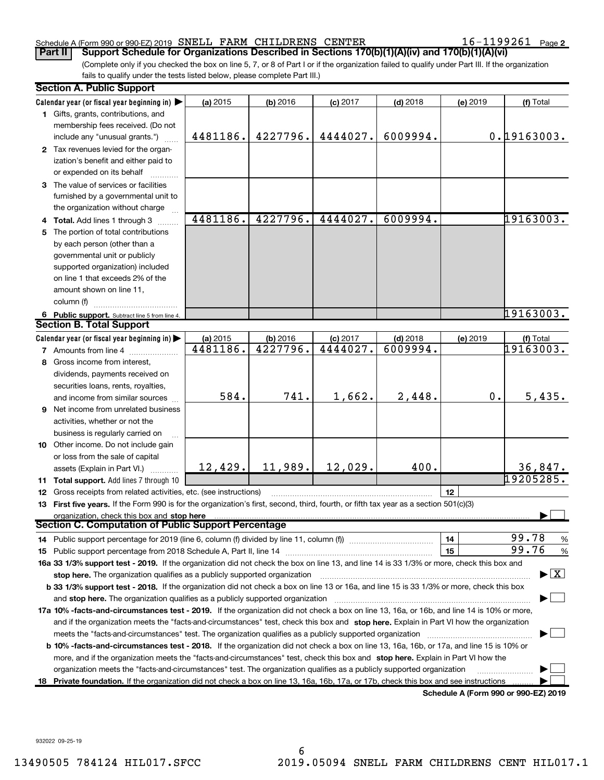### Schedule A (Form 990 or 990-EZ) 2019 SNELL FARM CHILDRENS CENTER  $16-1199261$  Page

16-1199261 Page 2

(Complete only if you checked the box on line 5, 7, or 8 of Part I or if the organization failed to qualify under Part III. If the organization fails to qualify under the tests listed below, please complete Part III.) Part II | Support Schedule for Organizations Described in Sections 170(b)(1)(A)(iv) and 170(b)(1)(A)(vi)

|    | <b>Section A. Public Support</b>                                                                                                                                              |          |            |            |            |          |                                |  |
|----|-------------------------------------------------------------------------------------------------------------------------------------------------------------------------------|----------|------------|------------|------------|----------|--------------------------------|--|
|    | Calendar year (or fiscal year beginning in)                                                                                                                                   | (a) 2015 | (b) 2016   | $(c)$ 2017 | $(d)$ 2018 | (e) 2019 | (f) Total                      |  |
|    | 1 Gifts, grants, contributions, and                                                                                                                                           |          |            |            |            |          |                                |  |
|    | membership fees received. (Do not                                                                                                                                             |          |            |            |            |          |                                |  |
|    | include any "unusual grants.")                                                                                                                                                | 4481186. | 4227796.   | 4444027.   | 6009994.   |          | 0.19163003.                    |  |
|    | 2 Tax revenues levied for the organ-                                                                                                                                          |          |            |            |            |          |                                |  |
|    | ization's benefit and either paid to                                                                                                                                          |          |            |            |            |          |                                |  |
|    | or expended on its behalf                                                                                                                                                     |          |            |            |            |          |                                |  |
|    | 3 The value of services or facilities                                                                                                                                         |          |            |            |            |          |                                |  |
|    | furnished by a governmental unit to                                                                                                                                           |          |            |            |            |          |                                |  |
|    | the organization without charge                                                                                                                                               |          |            |            |            |          |                                |  |
|    | 4 Total. Add lines 1 through 3                                                                                                                                                | 4481186. | 4227796.   | 4444027.   | 6009994.   |          | 19163003.                      |  |
| 5. | The portion of total contributions                                                                                                                                            |          |            |            |            |          |                                |  |
|    | by each person (other than a                                                                                                                                                  |          |            |            |            |          |                                |  |
|    | governmental unit or publicly                                                                                                                                                 |          |            |            |            |          |                                |  |
|    | supported organization) included                                                                                                                                              |          |            |            |            |          |                                |  |
|    | on line 1 that exceeds 2% of the                                                                                                                                              |          |            |            |            |          |                                |  |
|    | amount shown on line 11,                                                                                                                                                      |          |            |            |            |          |                                |  |
|    | column (f)                                                                                                                                                                    |          |            |            |            |          |                                |  |
|    | 6 Public support. Subtract line 5 from line 4.                                                                                                                                |          |            |            |            |          | 19163003.                      |  |
|    | <b>Section B. Total Support</b>                                                                                                                                               |          |            |            |            |          |                                |  |
|    | Calendar year (or fiscal year beginning in)                                                                                                                                   | (a) 2015 | $(b)$ 2016 | $(c)$ 2017 | $(d)$ 2018 | (e) 2019 | <u>  (f) Total</u><br>19163003 |  |
|    | <b>7</b> Amounts from line 4                                                                                                                                                  | 4481186. | 4227796.   | 4444027.   | 6009994.   |          |                                |  |
| 8  | Gross income from interest,                                                                                                                                                   |          |            |            |            |          |                                |  |
|    | dividends, payments received on                                                                                                                                               |          |            |            |            |          |                                |  |
|    | securities loans, rents, royalties,                                                                                                                                           |          |            |            |            |          |                                |  |
|    | and income from similar sources                                                                                                                                               | 584.     | 741.       | 1,662.     | 2,448.     | 0.       | 5,435.                         |  |
|    | 9 Net income from unrelated business                                                                                                                                          |          |            |            |            |          |                                |  |
|    | activities, whether or not the                                                                                                                                                |          |            |            |            |          |                                |  |
|    | business is regularly carried on                                                                                                                                              |          |            |            |            |          |                                |  |
|    | 10 Other income. Do not include gain                                                                                                                                          |          |            |            |            |          |                                |  |
|    | or loss from the sale of capital                                                                                                                                              |          |            |            |            |          |                                |  |
|    | assets (Explain in Part VI.)                                                                                                                                                  | 12,429.  | 11,989.    | 12,029.    | 400.       |          | 36,847 <b>.</b><br>19205285.   |  |
|    | 11 Total support. Add lines 7 through 10                                                                                                                                      |          |            |            |            |          |                                |  |
|    | 12 Gross receipts from related activities, etc. (see instructions)                                                                                                            |          |            |            |            | 12       |                                |  |
|    | 13 First five years. If the Form 990 is for the organization's first, second, third, fourth, or fifth tax year as a section 501(c)(3)                                         |          |            |            |            |          |                                |  |
|    | organization, check this box and stop here<br><b>Section C. Computation of Public Support Percentage</b>                                                                      |          |            |            |            |          |                                |  |
|    |                                                                                                                                                                               |          |            |            |            |          | 99.78                          |  |
|    |                                                                                                                                                                               |          |            |            |            | 14<br>15 | %<br>99.76                     |  |
|    | 16a 33 1/3% support test - 2019. If the organization did not check the box on line 13, and line 14 is 33 1/3% or more, check this box and                                     |          |            |            |            |          | $\%$                           |  |
|    | stop here. The organization qualifies as a publicly supported organization                                                                                                    |          |            |            |            |          | $\blacktriangleright$ $\mid$ X |  |
|    | b 33 1/3% support test - 2018. If the organization did not check a box on line 13 or 16a, and line 15 is 33 1/3% or more, check this box                                      |          |            |            |            |          |                                |  |
|    | and stop here. The organization qualifies as a publicly supported organization                                                                                                |          |            |            |            |          |                                |  |
|    | 17a 10% -facts-and-circumstances test - 2019. If the organization did not check a box on line 13, 16a, or 16b, and line 14 is 10% or more,                                    |          |            |            |            |          |                                |  |
|    | and if the organization meets the "facts-and-circumstances" test, check this box and stop here. Explain in Part VI how the organization                                       |          |            |            |            |          |                                |  |
|    | meets the "facts-and-circumstances" test. The organization qualifies as a publicly supported organization                                                                     |          |            |            |            |          |                                |  |
|    | b 10% -facts-and-circumstances test - 2018. If the organization did not check a box on line 13, 16a, 16b, or 17a, and line 15 is 10% or                                       |          |            |            |            |          |                                |  |
|    | more, and if the organization meets the "facts-and-circumstances" test, check this box and stop here. Explain in Part VI how the                                              |          |            |            |            |          |                                |  |
|    | organization meets the "facts-and-circumstances" test. The organization qualifies as a publicly supported organization                                                        |          |            |            |            |          |                                |  |
|    |                                                                                                                                                                               |          |            |            |            |          |                                |  |
|    | 18 Private foundation. If the organization did not check a box on line 13, 16a, 16b, 17a, or 17b, check this box and see instructions<br>Schedule A (Form 990 or 990-EZ) 2019 |          |            |            |            |          |                                |  |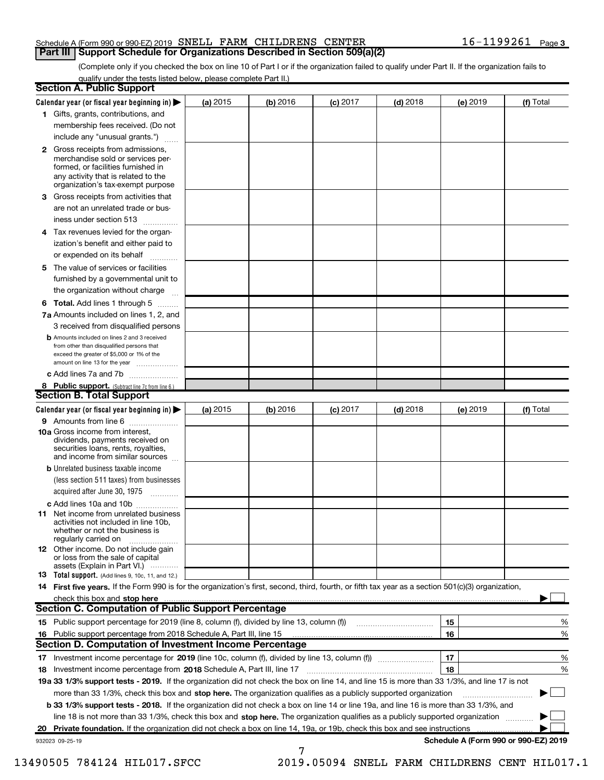### Schedule A (Form 990 or 990-EZ) 2019 SNELL FARM CHILDRENS CENTER  $16-1199261$  Page **Part III | Support Schedule for Organizations Described in Section 509(a)(2)**

(Complete only if you checked the box on line 10 of Part I or if the organization failed to qualify under Part II. If the organization fails to qualify under the tests listed below, please complete Part II.)

|    | <b>Section A. Public Support</b>                                                                                                                                                         |            |          |                 |            |          |                                      |
|----|------------------------------------------------------------------------------------------------------------------------------------------------------------------------------------------|------------|----------|-----------------|------------|----------|--------------------------------------|
|    | Calendar year (or fiscal year beginning in) $\blacktriangleright$                                                                                                                        | (a) 2015   | (b) 2016 | <b>(c)</b> 2017 | $(d)$ 2018 | (e) 2019 | (f) Total                            |
|    | 1 Gifts, grants, contributions, and                                                                                                                                                      |            |          |                 |            |          |                                      |
|    | membership fees received. (Do not                                                                                                                                                        |            |          |                 |            |          |                                      |
|    | include any "unusual grants.")                                                                                                                                                           |            |          |                 |            |          |                                      |
|    | 2 Gross receipts from admissions,<br>merchandise sold or services per-<br>formed, or facilities furnished in<br>any activity that is related to the<br>organization's tax-exempt purpose |            |          |                 |            |          |                                      |
|    | <b>3</b> Gross receipts from activities that                                                                                                                                             |            |          |                 |            |          |                                      |
|    | are not an unrelated trade or bus-                                                                                                                                                       |            |          |                 |            |          |                                      |
|    | iness under section 513                                                                                                                                                                  |            |          |                 |            |          |                                      |
|    | 4 Tax revenues levied for the organ-                                                                                                                                                     |            |          |                 |            |          |                                      |
|    | ization's benefit and either paid to                                                                                                                                                     |            |          |                 |            |          |                                      |
|    | or expended on its behalf                                                                                                                                                                |            |          |                 |            |          |                                      |
| 5. | The value of services or facilities                                                                                                                                                      |            |          |                 |            |          |                                      |
|    | furnished by a governmental unit to                                                                                                                                                      |            |          |                 |            |          |                                      |
|    | the organization without charge                                                                                                                                                          |            |          |                 |            |          |                                      |
|    | 6 Total. Add lines 1 through 5                                                                                                                                                           |            |          |                 |            |          |                                      |
|    | 7a Amounts included on lines 1, 2, and<br>3 received from disqualified persons                                                                                                           |            |          |                 |            |          |                                      |
|    | <b>b</b> Amounts included on lines 2 and 3 received<br>from other than disqualified persons that<br>exceed the greater of \$5,000 or 1% of the<br>amount on line 13 for the year         |            |          |                 |            |          |                                      |
|    | c Add lines 7a and 7b                                                                                                                                                                    |            |          |                 |            |          |                                      |
|    | 8 Public support. (Subtract line 7c from line 6.)<br><b>Section B. Total Support</b>                                                                                                     |            |          |                 |            |          |                                      |
|    |                                                                                                                                                                                          |            |          |                 |            |          |                                      |
|    | Calendar year (or fiscal year beginning in) $\blacktriangleright$<br>9 Amounts from line 6                                                                                               | (a) $2015$ | (b) 2016 | $(c)$ 2017      | $(d)$ 2018 | (e) 2019 | (f) Total                            |
|    | 10a Gross income from interest,<br>dividends, payments received on<br>securities loans, rents, royalties,<br>and income from similar sources                                             |            |          |                 |            |          |                                      |
|    | <b>b</b> Unrelated business taxable income                                                                                                                                               |            |          |                 |            |          |                                      |
|    | (less section 511 taxes) from businesses                                                                                                                                                 |            |          |                 |            |          |                                      |
|    | acquired after June 30, 1975                                                                                                                                                             |            |          |                 |            |          |                                      |
|    | c Add lines 10a and 10b                                                                                                                                                                  |            |          |                 |            |          |                                      |
|    | <b>11</b> Net income from unrelated business<br>activities not included in line 10b,<br>whether or not the business is<br>regularly carried on                                           |            |          |                 |            |          |                                      |
|    | 12 Other income. Do not include gain<br>or loss from the sale of capital<br>assets (Explain in Part VI.)                                                                                 |            |          |                 |            |          |                                      |
|    | 13 Total support. (Add lines 9, 10c, 11, and 12.)                                                                                                                                        |            |          |                 |            |          |                                      |
|    | 14 First five years. If the Form 990 is for the organization's first, second, third, fourth, or fifth tax year as a section 501(c)(3) organization,                                      |            |          |                 |            |          |                                      |
|    | check this box and stop here                                                                                                                                                             |            |          |                 |            |          |                                      |
|    | <b>Section C. Computation of Public Support Percentage</b>                                                                                                                               |            |          |                 |            |          |                                      |
|    | 15 Public support percentage for 2019 (line 8, column (f), divided by line 13, column (f))                                                                                               |            |          |                 |            | 15       | %                                    |
|    | 16 Public support percentage from 2018 Schedule A, Part III, line 15                                                                                                                     |            |          |                 |            | 16       | %                                    |
|    | Section D. Computation of Investment Income Percentage                                                                                                                                   |            |          |                 |            |          |                                      |
|    |                                                                                                                                                                                          |            |          |                 |            | 17       | %                                    |
|    | 18 Investment income percentage from 2018 Schedule A, Part III, line 17                                                                                                                  |            |          |                 |            | 18       | %                                    |
|    | 19a 33 1/3% support tests - 2019. If the organization did not check the box on line 14, and line 15 is more than 33 1/3%, and line 17 is not                                             |            |          |                 |            |          |                                      |
|    | more than 33 1/3%, check this box and stop here. The organization qualifies as a publicly supported organization                                                                         |            |          |                 |            |          |                                      |
|    | <b>b 33 1/3% support tests - 2018.</b> If the organization did not check a box on line 14 or line 19a, and line 16 is more than 33 1/3%, and                                             |            |          |                 |            |          |                                      |
|    | line 18 is not more than 33 1/3%, check this box and stop here. The organization qualifies as a publicly supported organization                                                          |            |          |                 |            |          |                                      |
|    | 20 Private foundation. If the organization did not check a box on line 14, 19a, or 19b, check this box and see instructions                                                              |            |          |                 |            |          |                                      |
|    | 932023 09-25-19                                                                                                                                                                          |            | 7        |                 |            |          | Schedule A (Form 990 or 990-EZ) 2019 |

13490505 784124 HIL017.SFCC 2019.05094 SNELL FARM CHILDRENS CENT HIL017.1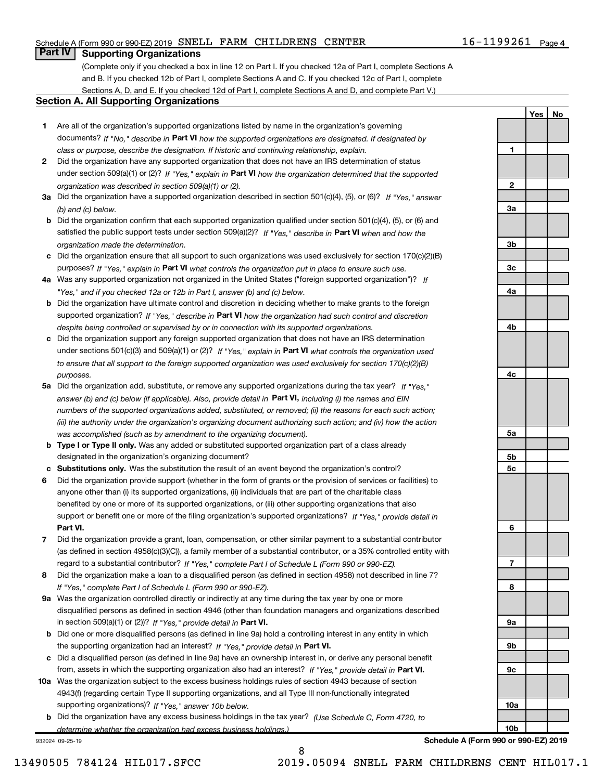### Schedule A (Form 990 or 990-EZ) 2019 SNELL FARM CHILDRENS CENTER  $16-1199261$  Page

# 16-1199261 Page 4

Yes | No

# **Part IV | Supporting Organizations**

(Complete only if you checked a box in line 12 on Part I. If you checked 12a of Part I, complete Sections A and B. If you checked 12b of Part I, complete Sections A and C. If you checked 12c of Part I, complete Sections A, D, and E. If you checked 12d of Part I, complete Sections A and D, and complete Part V.)

### Section A. All Supporting Organizations

- 1 Are all of the organization's supported organizations listed by name in the organization's governing documents? If "No," describe in Part VI how the supported organizations are designated. If designated by class or purpose, describe the designation. If historic and continuing relationship, explain.
- 2 Did the organization have any supported organization that does not have an IRS determination of status under section 509(a)(1) or (2)? If "Yes," explain in Part VI how the organization determined that the supported organization was described in section 509(a)(1) or (2).
- 3a Did the organization have a supported organization described in section 501(c)(4), (5), or (6)? If "Yes," answer (b) and (c) below.
- b Did the organization confirm that each supported organization qualified under section 501(c)(4), (5), or (6) and satisfied the public support tests under section 509(a)(2)? If "Yes," describe in Part VI when and how the organization made the determination.
- c Did the organization ensure that all support to such organizations was used exclusively for section 170(c)(2)(B) purposes? If "Yes," explain in Part VI what controls the organization put in place to ensure such use.
- 4a Was any supported organization not organized in the United States ("foreign supported organization")? If "Yes," and if you checked 12a or 12b in Part I, answer (b) and (c) below.
- **b** Did the organization have ultimate control and discretion in deciding whether to make grants to the foreign supported organization? If "Yes," describe in Part VI how the organization had such control and discretion despite being controlled or supervised by or in connection with its supported organizations.
- c Did the organization support any foreign supported organization that does not have an IRS determination under sections 501(c)(3) and 509(a)(1) or (2)? If "Yes," explain in Part VI what controls the organization used to ensure that all support to the foreign supported organization was used exclusively for section 170(c)(2)(B) purposes.
- 5a Did the organization add, substitute, or remove any supported organizations during the tax year? If "Yes," answer (b) and (c) below (if applicable). Also, provide detail in Part VI, including (i) the names and EIN numbers of the supported organizations added, substituted, or removed; (ii) the reasons for each such action; (iii) the authority under the organization's organizing document authorizing such action; and (iv) how the action was accomplished (such as by amendment to the organizing document).
- **b** Type I or Type II only. Was any added or substituted supported organization part of a class already designated in the organization's organizing document?
- c Substitutions only. Was the substitution the result of an event beyond the organization's control?
- 6 Did the organization provide support (whether in the form of grants or the provision of services or facilities) to Part VI. support or benefit one or more of the filing organization's supported organizations? If "Yes," provide detail in anyone other than (i) its supported organizations, (ii) individuals that are part of the charitable class benefited by one or more of its supported organizations, or (iii) other supporting organizations that also
- 7 Did the organization provide a grant, loan, compensation, or other similar payment to a substantial contributor regard to a substantial contributor? If "Yes," complete Part I of Schedule L (Form 990 or 990-EZ). (as defined in section 4958(c)(3)(C)), a family member of a substantial contributor, or a 35% controlled entity with
- 8 Did the organization make a loan to a disqualified person (as defined in section 4958) not described in line 7? If "Yes," complete Part I of Schedule L (Form 990 or 990-EZ).
- **9a** Was the organization controlled directly or indirectly at any time during the tax year by one or more in section 509(a)(1) or (2))? If "Yes," provide detail in Part VI. disqualified persons as defined in section 4946 (other than foundation managers and organizations described
- b Did one or more disqualified persons (as defined in line 9a) hold a controlling interest in any entity in which the supporting organization had an interest? If "Yes," provide detail in Part VI.
- c Did a disqualified person (as defined in line 9a) have an ownership interest in, or derive any personal benefit from, assets in which the supporting organization also had an interest? If "Yes," provide detail in Part VI.
- 10a Was the organization subject to the excess business holdings rules of section 4943 because of section supporting organizations)? If "Yes," answer 10b below. 4943(f) (regarding certain Type II supporting organizations, and all Type III non-functionally integrated
- **b** Did the organization have any excess business holdings in the tax year? (Use Schedule C, Form 4720, to determine whether the organization had excess business holdings.)

932024 09-25-19



Schedule A (Form 990 or 990-EZ) 2019

8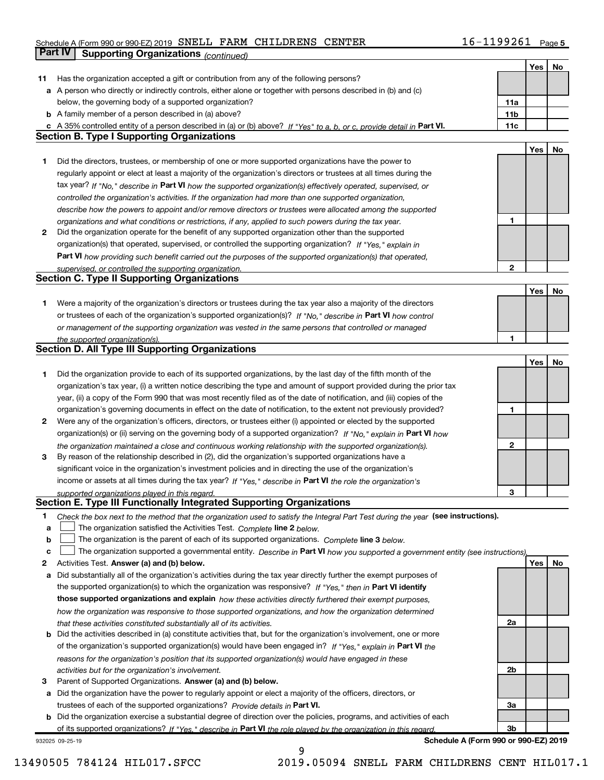# Schedule A (Form 990 or 990-EZ) 2019 SNELL FARM CHILDRENS CENTER  $16-1199261$  Page **Part IV | Supporting Organizations** (continued)

|    |                                                                                                                                                                                                                            |                 | Yes | No |
|----|----------------------------------------------------------------------------------------------------------------------------------------------------------------------------------------------------------------------------|-----------------|-----|----|
| 11 | Has the organization accepted a gift or contribution from any of the following persons?                                                                                                                                    |                 |     |    |
|    | a A person who directly or indirectly controls, either alone or together with persons described in (b) and (c)                                                                                                             |                 |     |    |
|    | below, the governing body of a supported organization?                                                                                                                                                                     | 11a             |     |    |
|    | <b>b</b> A family member of a person described in (a) above?                                                                                                                                                               | 11 <sub>b</sub> |     |    |
| c  | A 35% controlled entity of a person described in (a) or (b) above? If "Yes" to a, b, or c, provide detail in Part VI.                                                                                                      | 11c             |     |    |
|    | <b>Section B. Type I Supporting Organizations</b>                                                                                                                                                                          |                 |     |    |
|    |                                                                                                                                                                                                                            |                 | Yes | No |
| 1  | Did the directors, trustees, or membership of one or more supported organizations have the power to                                                                                                                        |                 |     |    |
|    | regularly appoint or elect at least a majority of the organization's directors or trustees at all times during the                                                                                                         |                 |     |    |
|    | tax year? If "No," describe in Part VI how the supported organization(s) effectively operated, supervised, or                                                                                                              |                 |     |    |
|    | controlled the organization's activities. If the organization had more than one supported organization,                                                                                                                    |                 |     |    |
|    | describe how the powers to appoint and/or remove directors or trustees were allocated among the supported                                                                                                                  |                 |     |    |
|    | organizations and what conditions or restrictions, if any, applied to such powers during the tax year.                                                                                                                     | 1               |     |    |
| 2  | Did the organization operate for the benefit of any supported organization other than the supported                                                                                                                        |                 |     |    |
|    | organization(s) that operated, supervised, or controlled the supporting organization? If "Yes." explain in                                                                                                                 |                 |     |    |
|    | Part VI how providing such benefit carried out the purposes of the supported organization(s) that operated,                                                                                                                |                 |     |    |
|    | supervised, or controlled the supporting organization.                                                                                                                                                                     | $\overline{2}$  |     |    |
|    | <b>Section C. Type II Supporting Organizations</b>                                                                                                                                                                         |                 |     |    |
|    |                                                                                                                                                                                                                            |                 | Yes | No |
| 1. | Were a majority of the organization's directors or trustees during the tax year also a majority of the directors                                                                                                           |                 |     |    |
|    | or trustees of each of the organization's supported organization(s)? If "No," describe in Part VI how control                                                                                                              |                 |     |    |
|    | or management of the supporting organization was vested in the same persons that controlled or managed                                                                                                                     |                 |     |    |
|    | the supported organization(s).                                                                                                                                                                                             | 1               |     |    |
|    | <b>Section D. All Type III Supporting Organizations</b>                                                                                                                                                                    |                 |     |    |
|    |                                                                                                                                                                                                                            |                 | Yes | No |
| 1. | Did the organization provide to each of its supported organizations, by the last day of the fifth month of the                                                                                                             |                 |     |    |
|    | organization's tax year, (i) a written notice describing the type and amount of support provided during the prior tax                                                                                                      |                 |     |    |
|    | year, (ii) a copy of the Form 990 that was most recently filed as of the date of notification, and (iii) copies of the                                                                                                     |                 |     |    |
|    | organization's governing documents in effect on the date of notification, to the extent not previously provided?                                                                                                           | 1               |     |    |
| 2  | Were any of the organization's officers, directors, or trustees either (i) appointed or elected by the supported                                                                                                           |                 |     |    |
|    | organization(s) or (ii) serving on the governing body of a supported organization? If "No," explain in Part VI how                                                                                                         |                 |     |    |
|    | the organization maintained a close and continuous working relationship with the supported organization(s).                                                                                                                | $\mathbf{2}$    |     |    |
| 3  | By reason of the relationship described in (2), did the organization's supported organizations have a                                                                                                                      |                 |     |    |
|    | significant voice in the organization's investment policies and in directing the use of the organization's<br>income or assets at all times during the tax year? If "Yes," describe in Part VI the role the organization's |                 |     |    |
|    |                                                                                                                                                                                                                            | 3               |     |    |
|    | supported organizations played in this regard.<br>Section E. Type III Functionally Integrated Supporting Organizations                                                                                                     |                 |     |    |
| 1  | Check the box next to the method that the organization used to satisfy the Integral Part Test during the year (see instructions).                                                                                          |                 |     |    |
| a  | The organization satisfied the Activities Test. Complete line 2 below.                                                                                                                                                     |                 |     |    |
| b  | The organization is the parent of each of its supported organizations. Complete line 3 below.                                                                                                                              |                 |     |    |
| c  | The organization supported a governmental entity. Describe in Part VI how you supported a government entity (see instructions).                                                                                            |                 |     |    |
| 2  | Activities Test. Answer (a) and (b) below.                                                                                                                                                                                 |                 | Yes | No |
| a  | Did substantially all of the organization's activities during the tax year directly further the exempt purposes of                                                                                                         |                 |     |    |
|    | the supported organization(s) to which the organization was responsive? If "Yes," then in Part VI identify                                                                                                                 |                 |     |    |
|    | those supported organizations and explain how these activities directly furthered their exempt purposes,                                                                                                                   |                 |     |    |
|    | how the organization was responsive to those supported organizations, and how the organization determined                                                                                                                  |                 |     |    |
|    | that these activities constituted substantially all of its activities.                                                                                                                                                     | 2a              |     |    |
| b  | Did the activities described in (a) constitute activities that, but for the organization's involvement, one or more                                                                                                        |                 |     |    |
|    | of the organization's supported organization(s) would have been engaged in? If "Yes," explain in Part VI the                                                                                                               |                 |     |    |
|    | reasons for the organization's position that its supported organization(s) would have engaged in these                                                                                                                     |                 |     |    |
|    | activities but for the organization's involvement.                                                                                                                                                                         | 2b              |     |    |
| з  | Parent of Supported Organizations. Answer (a) and (b) below.                                                                                                                                                               |                 |     |    |
| а  | Did the organization have the power to regularly appoint or elect a majority of the officers, directors, or                                                                                                                |                 |     |    |
|    | trustees of each of the supported organizations? Provide details in Part VI.                                                                                                                                               | За              |     |    |
| b  | Did the organization exercise a substantial degree of direction over the policies, programs, and activities of each                                                                                                        |                 |     |    |
|    | of its supported organizations? If "Yes," describe in Part VI the role played by the organization in this regard.                                                                                                          | 3b              |     |    |

932025 09-25-19

Schedule A (Form 990 or 990-EZ) 2019

9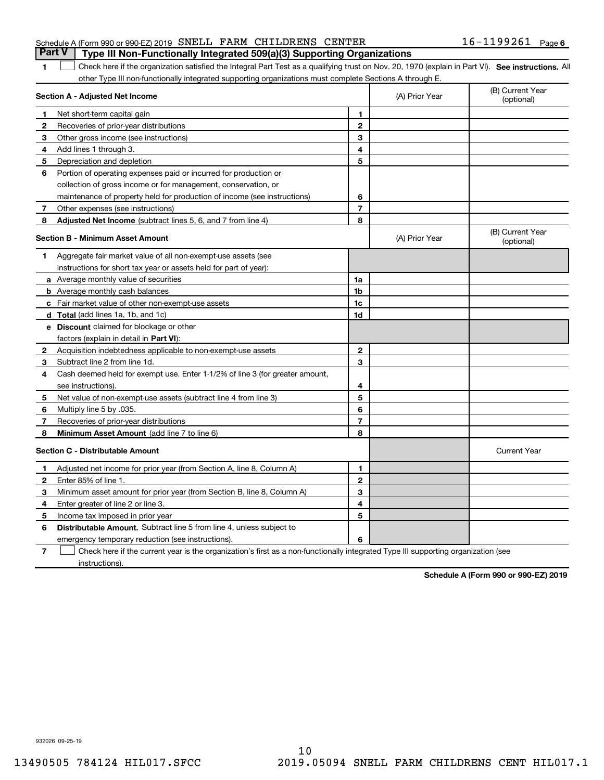# Schedule A (Form 990 or 990-EZ) 2019 SNELL FARM CHILDRENS CENTER  $16-1199261$  Page **Part V** | Type III Non-Functionally Integrated 509(a)(3) Supporting Organizations

1 Check here if the organization satisfied the Integral Part Test as a qualifying trust on Nov. 20, 1970 (explain in Part VI). See instructions. All other Type III non-functionally integrated supporting organizations must complete Sections A through E.

|              | Section A - Adjusted Net Income                                              |                | (A) Prior Year | (B) Current Year<br>(optional) |
|--------------|------------------------------------------------------------------------------|----------------|----------------|--------------------------------|
| 1            | Net short-term capital gain                                                  | 1              |                |                                |
| 2            | Recoveries of prior-year distributions                                       | $\mathbf{2}$   |                |                                |
| 3            | Other gross income (see instructions)                                        | 3              |                |                                |
| 4            | Add lines 1 through 3.                                                       | 4              |                |                                |
| 5            | Depreciation and depletion                                                   | 5              |                |                                |
| 6            | Portion of operating expenses paid or incurred for production or             |                |                |                                |
|              | collection of gross income or for management, conservation, or               |                |                |                                |
|              | maintenance of property held for production of income (see instructions)     | 6              |                |                                |
| 7            | Other expenses (see instructions)                                            | $\overline{7}$ |                |                                |
| 8            | Adjusted Net Income (subtract lines 5, 6, and 7 from line 4)                 | 8              |                |                                |
|              | <b>Section B - Minimum Asset Amount</b>                                      |                | (A) Prior Year | (B) Current Year<br>(optional) |
| 1            | Aggregate fair market value of all non-exempt-use assets (see                |                |                |                                |
|              | instructions for short tax year or assets held for part of year):            |                |                |                                |
|              | a Average monthly value of securities                                        | 1a             |                |                                |
|              | <b>b</b> Average monthly cash balances                                       | 1b             |                |                                |
|              | c Fair market value of other non-exempt-use assets                           | 1c             |                |                                |
|              | <b>d</b> Total (add lines 1a, 1b, and 1c)                                    | 1d             |                |                                |
|              | e Discount claimed for blockage or other                                     |                |                |                                |
|              | factors (explain in detail in Part VI):                                      |                |                |                                |
| 2            | Acquisition indebtedness applicable to non-exempt-use assets                 | $\mathbf{2}$   |                |                                |
| 3            | Subtract line 2 from line 1d.                                                | 3              |                |                                |
| 4            | Cash deemed held for exempt use. Enter 1-1/2% of line 3 (for greater amount, |                |                |                                |
|              | see instructions).                                                           | 4              |                |                                |
| 5            | Net value of non-exempt-use assets (subtract line 4 from line 3)             | 5              |                |                                |
| 6            | Multiply line 5 by .035.                                                     | 6              |                |                                |
| 7            | Recoveries of prior-year distributions                                       | 7              |                |                                |
| 8            | Minimum Asset Amount (add line 7 to line 6)                                  | 8              |                |                                |
|              | <b>Section C - Distributable Amount</b>                                      |                |                | <b>Current Year</b>            |
| 1            | Adjusted net income for prior year (from Section A, line 8, Column A)        | 1              |                |                                |
| $\mathbf{2}$ | Enter 85% of line 1.                                                         | $\mathbf{2}$   |                |                                |
| 3            | Minimum asset amount for prior year (from Section B, line 8, Column A)       | 3              |                |                                |
| 4            | Enter greater of line 2 or line 3.                                           | 4              |                |                                |
| 5            | Income tax imposed in prior year                                             | 5              |                |                                |
| 6            | <b>Distributable Amount.</b> Subtract line 5 from line 4, unless subject to  |                |                |                                |
|              | emergency temporary reduction (see instructions).                            | 6              |                |                                |
|              |                                                                              |                |                |                                |

7 Check here if the current year is the organization's first as a non-functionally integrated Type III supporting organization (see instructions).

Schedule A (Form 990 or 990-EZ) 2019

10 13490505 784124 HIL017.SFCC 2019.05094 SNELL FARM CHILDRENS CENT HIL017.1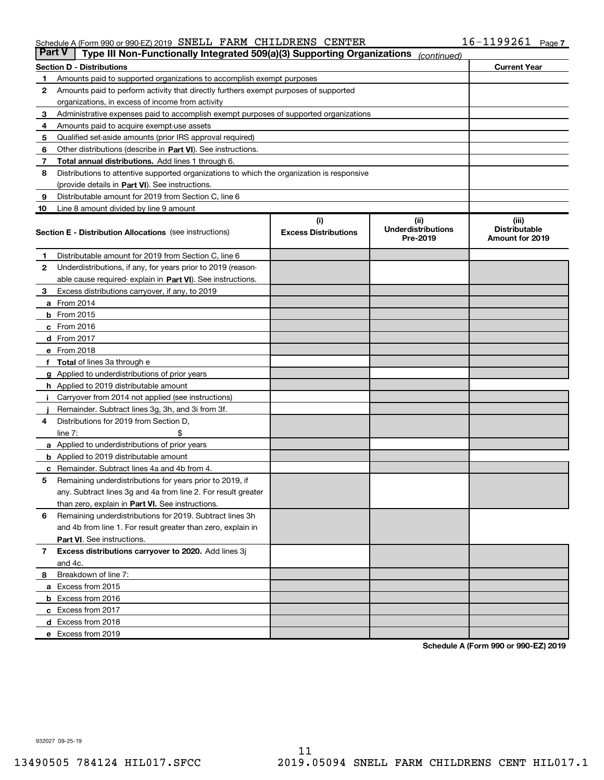#### Schedule A (Form 990 or 990-EZ) 2019 SNELL FARM CHILDRENS CENTER  $16-1199261$  Page

| <b>Part V</b> | Type III Non-Functionally Integrated 509(a)(3) Supporting Organizations                    |                             | (continued)                           |                                         |
|---------------|--------------------------------------------------------------------------------------------|-----------------------------|---------------------------------------|-----------------------------------------|
|               | <b>Section D - Distributions</b>                                                           |                             |                                       | <b>Current Year</b>                     |
| 1             | Amounts paid to supported organizations to accomplish exempt purposes                      |                             |                                       |                                         |
| 2             | Amounts paid to perform activity that directly furthers exempt purposes of supported       |                             |                                       |                                         |
|               | organizations, in excess of income from activity                                           |                             |                                       |                                         |
| 3             | Administrative expenses paid to accomplish exempt purposes of supported organizations      |                             |                                       |                                         |
| 4             | Amounts paid to acquire exempt-use assets                                                  |                             |                                       |                                         |
| 5             | Qualified set-aside amounts (prior IRS approval required)                                  |                             |                                       |                                         |
| 6             | Other distributions (describe in Part VI). See instructions.                               |                             |                                       |                                         |
| 7             | Total annual distributions. Add lines 1 through 6.                                         |                             |                                       |                                         |
| 8             | Distributions to attentive supported organizations to which the organization is responsive |                             |                                       |                                         |
|               | (provide details in Part VI). See instructions.                                            |                             |                                       |                                         |
| 9             | Distributable amount for 2019 from Section C, line 6                                       |                             |                                       |                                         |
| 10            | Line 8 amount divided by line 9 amount                                                     |                             |                                       |                                         |
|               |                                                                                            | (i)                         | (iii)                                 | (iii)                                   |
|               | <b>Section E - Distribution Allocations</b> (see instructions)                             | <b>Excess Distributions</b> | <b>Underdistributions</b><br>Pre-2019 | <b>Distributable</b><br>Amount for 2019 |
| 1             | Distributable amount for 2019 from Section C, line 6                                       |                             |                                       |                                         |
| 2             | Underdistributions, if any, for years prior to 2019 (reason-                               |                             |                                       |                                         |
|               | able cause required- explain in Part VI). See instructions.                                |                             |                                       |                                         |
| 3             | Excess distributions carryover, if any, to 2019                                            |                             |                                       |                                         |
|               | <b>a</b> From 2014                                                                         |                             |                                       |                                         |
|               | <b>b</b> From 2015                                                                         |                             |                                       |                                         |
|               | $c$ From 2016                                                                              |                             |                                       |                                         |
|               | $d$ From 2017                                                                              |                             |                                       |                                         |
|               | e From 2018                                                                                |                             |                                       |                                         |
|               | <b>f</b> Total of lines 3a through e                                                       |                             |                                       |                                         |
|               | g Applied to underdistributions of prior years                                             |                             |                                       |                                         |
|               | h Applied to 2019 distributable amount                                                     |                             |                                       |                                         |
| j.            | Carryover from 2014 not applied (see instructions)                                         |                             |                                       |                                         |
|               | Remainder. Subtract lines 3g, 3h, and 3i from 3f.                                          |                             |                                       |                                         |
| 4             | Distributions for 2019 from Section D,                                                     |                             |                                       |                                         |
|               | line $7:$                                                                                  |                             |                                       |                                         |
|               | <b>a</b> Applied to underdistributions of prior years                                      |                             |                                       |                                         |
|               | <b>b</b> Applied to 2019 distributable amount                                              |                             |                                       |                                         |
|               | c Remainder. Subtract lines 4a and 4b from 4.                                              |                             |                                       |                                         |
| 5             | Remaining underdistributions for years prior to 2019, if                                   |                             |                                       |                                         |
|               | any. Subtract lines 3g and 4a from line 2. For result greater                              |                             |                                       |                                         |
|               | than zero, explain in <b>Part VI.</b> See instructions.                                    |                             |                                       |                                         |
| 6             | Remaining underdistributions for 2019. Subtract lines 3h                                   |                             |                                       |                                         |
|               | and 4b from line 1. For result greater than zero, explain in                               |                             |                                       |                                         |
|               | Part VI. See instructions.                                                                 |                             |                                       |                                         |
| $\mathbf{7}$  | Excess distributions carryover to 2020. Add lines 3j                                       |                             |                                       |                                         |
|               | and 4c.                                                                                    |                             |                                       |                                         |
| 8             | Breakdown of line 7:                                                                       |                             |                                       |                                         |
|               | a Excess from 2015                                                                         |                             |                                       |                                         |
|               | <b>b</b> Excess from 2016                                                                  |                             |                                       |                                         |
|               | c Excess from 2017                                                                         |                             |                                       |                                         |
|               | d Excess from 2018                                                                         |                             |                                       |                                         |
|               | e Excess from 2019                                                                         |                             |                                       |                                         |

Schedule A (Form 990 or 990-EZ) 2019

932027 09-25-19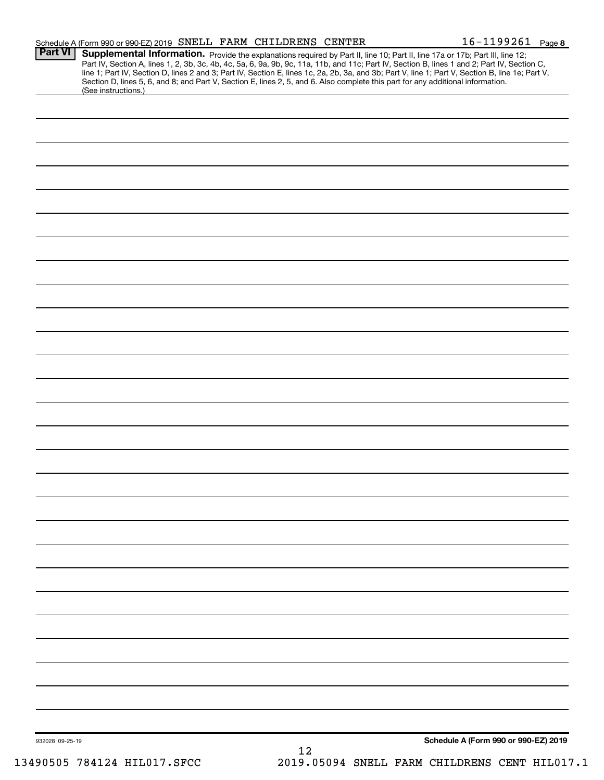| <b>Part VI</b>  | Schedule A (Form 990 or 990-EZ) 2019 SNELL FARM CHILDRENS CENTER |  |    |                                                                                                                                 | $16 - 1199261$ Page 8                                                                                                                                                                                                             |  |
|-----------------|------------------------------------------------------------------|--|----|---------------------------------------------------------------------------------------------------------------------------------|-----------------------------------------------------------------------------------------------------------------------------------------------------------------------------------------------------------------------------------|--|
|                 |                                                                  |  |    |                                                                                                                                 | Supplemental Information. Provide the explanations required by Part II, line 10; Part II, line 17a or 17b; Part III, line 12;<br>Part IV, Section A, lines 1, 2, 3b, 3c, 4b, 4c, 5a, 6, 9a, 9b, 9c, 11a, 11b, and 11c; Part IV, S |  |
|                 |                                                                  |  |    |                                                                                                                                 | line 1; Part IV, Section D, lines 2 and 3; Part IV, Section E, lines 1c, 2a, 2b, 3a, and 3b; Part V, line 1; Part V, Section B, line 1e; Part V,                                                                                  |  |
|                 | (See instructions.)                                              |  |    | Section D, lines 5, 6, and 8; and Part V, Section E, lines 2, 5, and 6. Also complete this part for any additional information. |                                                                                                                                                                                                                                   |  |
|                 |                                                                  |  |    |                                                                                                                                 |                                                                                                                                                                                                                                   |  |
|                 |                                                                  |  |    |                                                                                                                                 |                                                                                                                                                                                                                                   |  |
|                 |                                                                  |  |    |                                                                                                                                 |                                                                                                                                                                                                                                   |  |
|                 |                                                                  |  |    |                                                                                                                                 |                                                                                                                                                                                                                                   |  |
|                 |                                                                  |  |    |                                                                                                                                 |                                                                                                                                                                                                                                   |  |
|                 |                                                                  |  |    |                                                                                                                                 |                                                                                                                                                                                                                                   |  |
|                 |                                                                  |  |    |                                                                                                                                 |                                                                                                                                                                                                                                   |  |
|                 |                                                                  |  |    |                                                                                                                                 |                                                                                                                                                                                                                                   |  |
|                 |                                                                  |  |    |                                                                                                                                 |                                                                                                                                                                                                                                   |  |
|                 |                                                                  |  |    |                                                                                                                                 |                                                                                                                                                                                                                                   |  |
|                 |                                                                  |  |    |                                                                                                                                 |                                                                                                                                                                                                                                   |  |
|                 |                                                                  |  |    |                                                                                                                                 |                                                                                                                                                                                                                                   |  |
|                 |                                                                  |  |    |                                                                                                                                 |                                                                                                                                                                                                                                   |  |
|                 |                                                                  |  |    |                                                                                                                                 |                                                                                                                                                                                                                                   |  |
|                 |                                                                  |  |    |                                                                                                                                 |                                                                                                                                                                                                                                   |  |
|                 |                                                                  |  |    |                                                                                                                                 |                                                                                                                                                                                                                                   |  |
|                 |                                                                  |  |    |                                                                                                                                 |                                                                                                                                                                                                                                   |  |
|                 |                                                                  |  |    |                                                                                                                                 |                                                                                                                                                                                                                                   |  |
|                 |                                                                  |  |    |                                                                                                                                 |                                                                                                                                                                                                                                   |  |
|                 |                                                                  |  |    |                                                                                                                                 |                                                                                                                                                                                                                                   |  |
|                 |                                                                  |  |    |                                                                                                                                 |                                                                                                                                                                                                                                   |  |
|                 |                                                                  |  |    |                                                                                                                                 |                                                                                                                                                                                                                                   |  |
|                 |                                                                  |  |    |                                                                                                                                 |                                                                                                                                                                                                                                   |  |
|                 |                                                                  |  |    |                                                                                                                                 |                                                                                                                                                                                                                                   |  |
|                 |                                                                  |  |    |                                                                                                                                 |                                                                                                                                                                                                                                   |  |
|                 |                                                                  |  |    |                                                                                                                                 |                                                                                                                                                                                                                                   |  |
|                 |                                                                  |  |    |                                                                                                                                 |                                                                                                                                                                                                                                   |  |
|                 |                                                                  |  |    |                                                                                                                                 |                                                                                                                                                                                                                                   |  |
|                 |                                                                  |  |    |                                                                                                                                 |                                                                                                                                                                                                                                   |  |
|                 |                                                                  |  |    |                                                                                                                                 |                                                                                                                                                                                                                                   |  |
|                 |                                                                  |  |    |                                                                                                                                 |                                                                                                                                                                                                                                   |  |
|                 |                                                                  |  |    |                                                                                                                                 |                                                                                                                                                                                                                                   |  |
|                 |                                                                  |  |    |                                                                                                                                 |                                                                                                                                                                                                                                   |  |
|                 |                                                                  |  |    |                                                                                                                                 |                                                                                                                                                                                                                                   |  |
|                 |                                                                  |  |    |                                                                                                                                 |                                                                                                                                                                                                                                   |  |
|                 |                                                                  |  |    |                                                                                                                                 |                                                                                                                                                                                                                                   |  |
|                 |                                                                  |  |    |                                                                                                                                 |                                                                                                                                                                                                                                   |  |
|                 |                                                                  |  |    |                                                                                                                                 |                                                                                                                                                                                                                                   |  |
|                 |                                                                  |  |    |                                                                                                                                 |                                                                                                                                                                                                                                   |  |
|                 |                                                                  |  |    |                                                                                                                                 |                                                                                                                                                                                                                                   |  |
|                 |                                                                  |  |    |                                                                                                                                 |                                                                                                                                                                                                                                   |  |
|                 |                                                                  |  |    |                                                                                                                                 |                                                                                                                                                                                                                                   |  |
|                 |                                                                  |  |    |                                                                                                                                 |                                                                                                                                                                                                                                   |  |
|                 |                                                                  |  |    |                                                                                                                                 |                                                                                                                                                                                                                                   |  |
|                 |                                                                  |  |    |                                                                                                                                 |                                                                                                                                                                                                                                   |  |
|                 |                                                                  |  |    |                                                                                                                                 |                                                                                                                                                                                                                                   |  |
|                 |                                                                  |  |    |                                                                                                                                 |                                                                                                                                                                                                                                   |  |
|                 |                                                                  |  |    |                                                                                                                                 |                                                                                                                                                                                                                                   |  |
|                 |                                                                  |  |    |                                                                                                                                 |                                                                                                                                                                                                                                   |  |
|                 |                                                                  |  |    |                                                                                                                                 |                                                                                                                                                                                                                                   |  |
|                 |                                                                  |  |    |                                                                                                                                 |                                                                                                                                                                                                                                   |  |
|                 |                                                                  |  | 12 |                                                                                                                                 |                                                                                                                                                                                                                                   |  |
| 932028 09-25-19 | 13490505 784124 HIL017.SFCC                                      |  |    |                                                                                                                                 | Schedule A (Form 990 or 990-EZ) 2019<br>2019.05094 SNELL FARM CHILDRENS CENT HIL017.1                                                                                                                                             |  |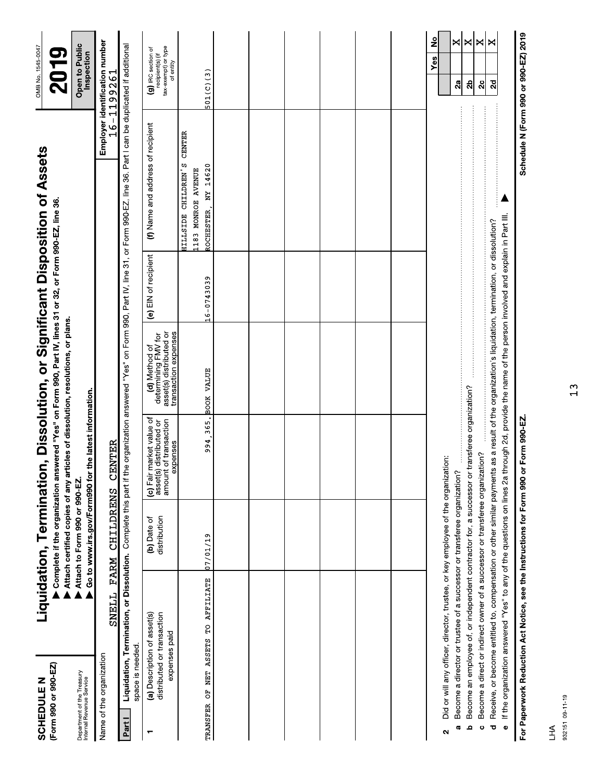| (Form 990 or 990-EZ)<br><b>SCHEDULE N</b>                                |                                                                                  | Liquidation, Termination      |                                                                                               | Complete if the organization answered "Yes" on Form 990, Part IV, lines 31 or 32, or Form 990-EZ, line 36.<br>Attach certified copies of any articles of dissolution, resolutions, or plans.                                    |                      | , Dissolution, or Significant Disposition of Assets                                                                        |               | OMB No. 1545-0047<br>2019                                                  |
|--------------------------------------------------------------------------|----------------------------------------------------------------------------------|-------------------------------|-----------------------------------------------------------------------------------------------|---------------------------------------------------------------------------------------------------------------------------------------------------------------------------------------------------------------------------------|----------------------|----------------------------------------------------------------------------------------------------------------------------|---------------|----------------------------------------------------------------------------|
| Department of the Treasury<br>Internal Revenue Service                   |                                                                                  | Attach to Form 990 or 990-EZ. | Go to www.irs.gov/Form990 for the latest information.                                         |                                                                                                                                                                                                                                 |                      |                                                                                                                            |               | Open to Public<br>Inspection                                               |
| Name of the organization                                                 | SNELL                                                                            | CHILDRENS<br>FARM             | CENTER                                                                                        |                                                                                                                                                                                                                                 |                      |                                                                                                                            |               | Employer identification number<br>16-1199261                               |
| space is needed.<br>Partl                                                | Liquidation, Termination, or Dissolution. Complete this part if the              |                               |                                                                                               |                                                                                                                                                                                                                                 |                      | organization answered "Yes" on Form 990, Part IV, line 31, or Form 990-EZ, line 36. Part I can be duplicated if additional |               |                                                                            |
| ┯                                                                        | (a) Description of asset(s)<br>distributed or transaction<br>expenses paid       | distribution<br>(b) Date of   | (c) Fair market value of<br>amount of transaction<br>asset(s) distributed or<br>expenses      | asset(s) distributed or<br>transaction expenses<br>determining FMV for<br>(d) Method of                                                                                                                                         | (e) EIN of recipient | (f) Name and address of recipient                                                                                          |               | tax-exempt) or type<br>(g) IRC section of<br>recipient(s) (if<br>of entity |
| TRANSFER OF NET ASSETS TO AFFILIATE                                      |                                                                                  | 07/01/19                      |                                                                                               | 994, 365. BOOK VALUE                                                                                                                                                                                                            | 16-0743039           | HILLSIDE CHILDREN'S<br>ROCHESTER, NY 14620<br>1183 MONROE AVENUE                                                           | <b>CENTER</b> | 501(C)(3)                                                                  |
|                                                                          |                                                                                  |                               |                                                                                               |                                                                                                                                                                                                                                 |                      |                                                                                                                            |               |                                                                            |
|                                                                          |                                                                                  |                               |                                                                                               |                                                                                                                                                                                                                                 |                      |                                                                                                                            |               |                                                                            |
|                                                                          |                                                                                  |                               |                                                                                               |                                                                                                                                                                                                                                 |                      |                                                                                                                            |               |                                                                            |
|                                                                          |                                                                                  |                               |                                                                                               |                                                                                                                                                                                                                                 |                      |                                                                                                                            |               |                                                                            |
|                                                                          |                                                                                  |                               |                                                                                               |                                                                                                                                                                                                                                 |                      |                                                                                                                            |               |                                                                            |
|                                                                          |                                                                                  |                               |                                                                                               |                                                                                                                                                                                                                                 |                      |                                                                                                                            |               |                                                                            |
| Ν                                                                        | Did or will any officer, director, trustee, or key employee of the organization: |                               |                                                                                               |                                                                                                                                                                                                                                 |                      |                                                                                                                            |               | å<br>Y <sub>es</sub>                                                       |
| م<br><b>G</b>                                                            | Become a director or trustee of a successor or transferee organization?          |                               | Become an employee of, or independent contractor for, a successor or transferee organization? |                                                                                                                                                                                                                                 |                      |                                                                                                                            |               | ×l×<br>2b<br>$\mathbf{a}$                                                  |
| $\ddot{\circ}$                                                           | Become a direct or indirect owner of a successor or transferee organization?     |                               |                                                                                               |                                                                                                                                                                                                                                 |                      |                                                                                                                            |               | ×<br>$\mathbf{a}$                                                          |
| ರ                                                                        | If the organization answered "Yes" to any of the questions on lines 2a thr       |                               |                                                                                               | ough 2d, provide the name of the person involved and explain in Part III.<br>Receive, or become entitled to, compensation or other similar payments as a result of the organization's liquidation, termination, or dissolution? |                      |                                                                                                                            |               | ×<br>2d                                                                    |
| For Paperwork Reduction Act Notice, see the Instructions for Form 990 or |                                                                                  |                               | Form 990-EZ.                                                                                  |                                                                                                                                                                                                                                 |                      |                                                                                                                            |               | Schedule N (Form 990 or 990-EZ) 2019                                       |

For Paperwork Reduction Act Notice, see the Instructions for Form 990 or Form 990-EZ.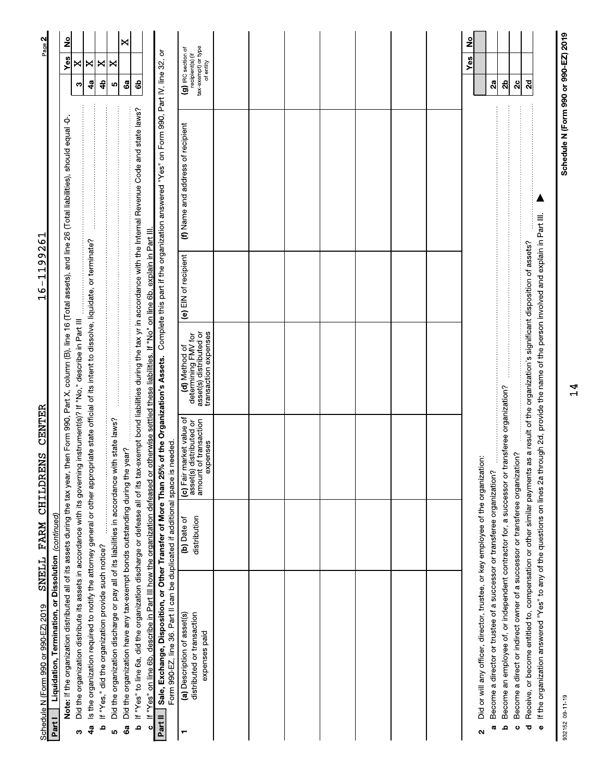| SNELL<br>Schedule N (Form 990 or 990-EZ) 2019                                                                                                                                                                                                                                                                                                              |                             | CENTER<br>FARM CHILDRENS                                                                    |                                                                                         | $\sigma$<br>$\sigma$<br>ᅱ<br>ᅱ<br>$\overline{\phantom{a}}$<br>$\frac{9}{1}$ | ٣<br>$\frac{6}{2}$                                                                                                                                                                 | Page 2                                                                     |
|------------------------------------------------------------------------------------------------------------------------------------------------------------------------------------------------------------------------------------------------------------------------------------------------------------------------------------------------------------|-----------------------------|---------------------------------------------------------------------------------------------|-----------------------------------------------------------------------------------------|-----------------------------------------------------------------------------|------------------------------------------------------------------------------------------------------------------------------------------------------------------------------------|----------------------------------------------------------------------------|
| Note: If the organization distributed all of its assets during the tax year, then Form 990, Part X, column (B), line 16 (Total assets), and line 26 (Total liabilities), should equal -0-<br>Liquidation, Termination, or Dissolution (continued)<br>Part I                                                                                                |                             |                                                                                             |                                                                                         |                                                                             |                                                                                                                                                                                    | <u>ខ</u><br>Yes                                                            |
| Did the organization distribute its assets in accordance with its governing instrument(s)? If "No," describe in Part III<br>ω                                                                                                                                                                                                                              |                             |                                                                                             |                                                                                         |                                                                             |                                                                                                                                                                                    | ×<br>ო                                                                     |
| Is the organization required to notify the attorney general or other appropriate state official of its intent to dissolve, liquidate, or terminate?<br>4a                                                                                                                                                                                                  |                             |                                                                                             |                                                                                         |                                                                             |                                                                                                                                                                                    | ×<br>49                                                                    |
| If "Yes," did the organization provide such notice?<br>م                                                                                                                                                                                                                                                                                                   |                             |                                                                                             |                                                                                         |                                                                             |                                                                                                                                                                                    | ×<br>4                                                                     |
| Did the organization discharge or pay all of its liabilities in accordance with state laws?<br><u>ທ</u>                                                                                                                                                                                                                                                    |                             |                                                                                             |                                                                                         |                                                                             |                                                                                                                                                                                    | ×<br>ю                                                                     |
| Did the organization have any tax-exempt bonds outstanding during the year?<br>ශී                                                                                                                                                                                                                                                                          |                             |                                                                                             |                                                                                         |                                                                             |                                                                                                                                                                                    | ×<br>Ga                                                                    |
| If "Yes" to line 6a, did the organization discharge or defease all of its tax-exempt bond liabilities during the tax yr in accordance with the Internal Revenue Code and state laws?<br>If "Yes" on line 6b, describe in Part III how the organization defeased or otherwise settled these liabilities. If "No" on line 6b, explain in Part III.<br>م<br>ں |                             |                                                                                             |                                                                                         |                                                                             |                                                                                                                                                                                    | සි                                                                         |
| Part II                                                                                                                                                                                                                                                                                                                                                    |                             |                                                                                             |                                                                                         |                                                                             | Sale, Exchange, Disposition, or Other Transfer of More Than 25% of the Organization's Assets. Complete this part if the organization answered "Yes" on Form 990, Part IV, line 32, | ŏ                                                                          |
| Form 990-EZ, line 36. Part II can be duplicated if additional space is needed.                                                                                                                                                                                                                                                                             |                             |                                                                                             |                                                                                         |                                                                             |                                                                                                                                                                                    |                                                                            |
| distributed or transaction<br>(a) Description of asset(s)<br>expenses paid                                                                                                                                                                                                                                                                                 | distribution<br>(b) Date of | (c) Fair market value of<br>amount of transaction<br>distributed or<br>expenses<br>asset(s) | asset(s) distributed or<br>transaction expenses<br>determining FMV for<br>(d) Method of | (e) EIN of recipient                                                        | (f) Name and address of recipient                                                                                                                                                  | tax-exempt) or type<br>(g) IRC section of<br>recipient(s) (if<br>of entity |
|                                                                                                                                                                                                                                                                                                                                                            |                             |                                                                                             |                                                                                         |                                                                             |                                                                                                                                                                                    |                                                                            |
|                                                                                                                                                                                                                                                                                                                                                            |                             |                                                                                             |                                                                                         |                                                                             |                                                                                                                                                                                    |                                                                            |
|                                                                                                                                                                                                                                                                                                                                                            |                             |                                                                                             |                                                                                         |                                                                             |                                                                                                                                                                                    |                                                                            |
|                                                                                                                                                                                                                                                                                                                                                            |                             |                                                                                             |                                                                                         |                                                                             |                                                                                                                                                                                    |                                                                            |
|                                                                                                                                                                                                                                                                                                                                                            |                             |                                                                                             |                                                                                         |                                                                             |                                                                                                                                                                                    |                                                                            |
|                                                                                                                                                                                                                                                                                                                                                            |                             |                                                                                             |                                                                                         |                                                                             |                                                                                                                                                                                    |                                                                            |
|                                                                                                                                                                                                                                                                                                                                                            |                             |                                                                                             |                                                                                         |                                                                             |                                                                                                                                                                                    |                                                                            |
| Did or will any officer, director, trustee, or key employee of the organization:<br>Become a director or trustee of a successor or transferee organization?<br><b>o</b><br>$\mathbf{\Omega}$                                                                                                                                                               |                             |                                                                                             |                                                                                         |                                                                             |                                                                                                                                                                                    | ş<br>Yes<br>$\mathbf{a}$                                                   |
| Become an employee of, or independent contractor for, a successor or transferee organization?<br>م                                                                                                                                                                                                                                                         |                             |                                                                                             |                                                                                         |                                                                             |                                                                                                                                                                                    | ಸೆ                                                                         |
| Become a direct or indirect owner of a successor or transferee organization?<br>Receive, or become entitled to, compensation or other similar payments<br>ಕ<br>ပ                                                                                                                                                                                           |                             |                                                                                             | as a result of the organization's significant disposition of assets?                    |                                                                             |                                                                                                                                                                                    | 2c<br>2d                                                                   |
| If the organization answered "Yes" to any of the questions on lines 2a through 2d, provide the name of the person involved and explain in Part III.<br>$\bullet$                                                                                                                                                                                           |                             |                                                                                             |                                                                                         |                                                                             |                                                                                                                                                                                    |                                                                            |

Schedule N (Form 990 or 990-EZ) 2019

 $14$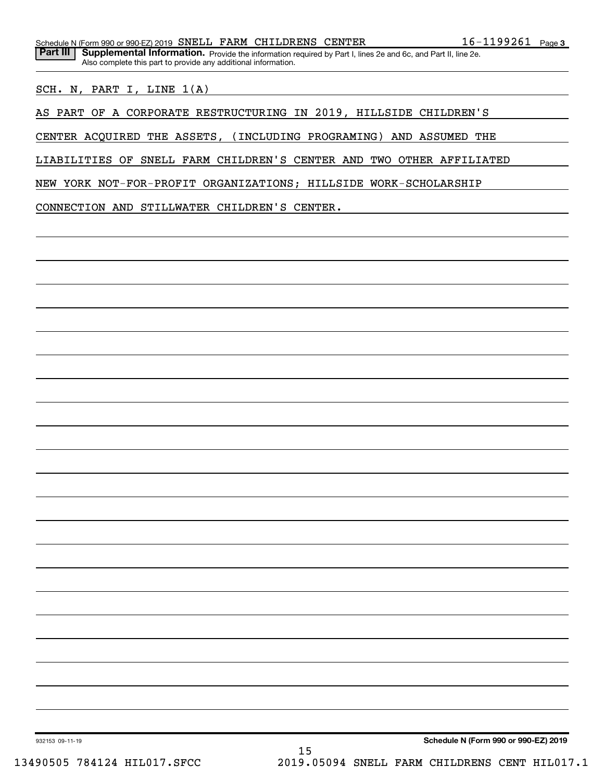SCH. N, PART I, LINE 1(A)

AS PART OF A CORPORATE RESTRUCTURING IN 2019, HILLSIDE CHILDREN'S

CENTER ACQUIRED THE ASSETS, (INCLUDING PROGRAMING) AND ASSUMED THE

LIABILITIES OF SNELL FARM CHILDREN'S CENTER AND TWO OTHER AFFILIATED

NEW YORK NOT-FOR-PROFIT ORGANIZATIONS; HILLSIDE WORK-SCHOLARSHIP

CONNECTION AND STILLWATER CHILDREN'S CENTER.

Also complete this part to provide any additional information.

Schedule N (Form 990 or 990-EZ) 2019

932153 09-11-19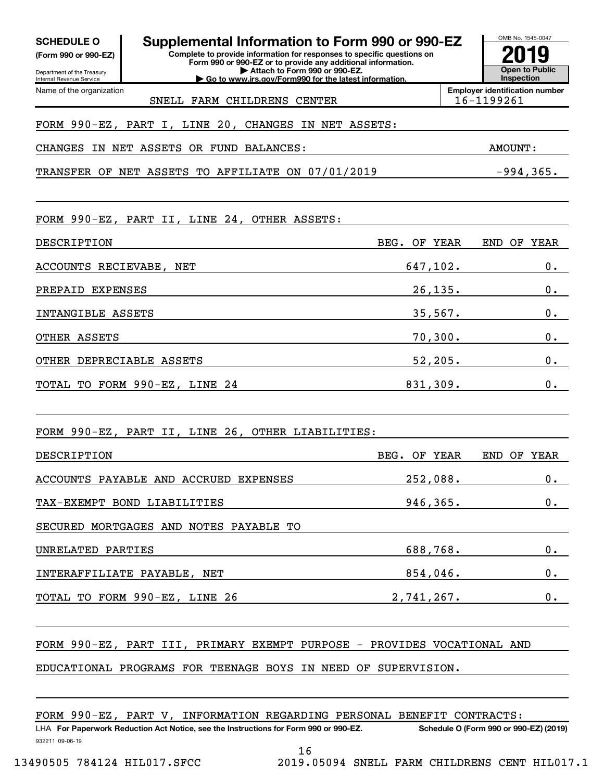| <b>SCHEDULE O</b><br>(Form 990 or 990-EZ)<br>Department of the Treasury | Supplemental Information to Form 990 or 990-EZ<br>Complete to provide information for responses to specific questions on<br>Form 990 or 990-EZ or to provide any additional information.<br>Attach to Form 990 or 990-EZ. |               |            | OMB No. 1545-0047<br>2019<br><b>Open to Public</b>  |
|-------------------------------------------------------------------------|---------------------------------------------------------------------------------------------------------------------------------------------------------------------------------------------------------------------------|---------------|------------|-----------------------------------------------------|
| Internal Revenue Service<br>Name of the organization                    | Go to www.irs.gov/Form990 for the latest information.                                                                                                                                                                     |               |            | Inspection<br><b>Emplover identification number</b> |
|                                                                         | SNELL FARM CHILDRENS CENTER                                                                                                                                                                                               |               |            | 16-1199261                                          |
|                                                                         | FORM 990-EZ, PART I, LINE 20, CHANGES IN NET ASSETS:                                                                                                                                                                      |               |            |                                                     |
|                                                                         | CHANGES IN NET ASSETS OR FUND BALANCES:                                                                                                                                                                                   |               |            | AMOUNT:                                             |
|                                                                         | TRANSFER OF NET ASSETS TO AFFILIATE ON 07/01/2019                                                                                                                                                                         |               |            | $-994, 365.$                                        |
|                                                                         | FORM 990-EZ, PART II, LINE 24, OTHER ASSETS:                                                                                                                                                                              |               |            |                                                     |
| DESCRIPTION                                                             |                                                                                                                                                                                                                           | BEG. OF YEAR  |            | END OF<br>YEAR                                      |
| ACCOUNTS RECIEVABE, NET                                                 |                                                                                                                                                                                                                           | 647,102.      |            | $0$ .                                               |
| PREPAID EXPENSES                                                        |                                                                                                                                                                                                                           |               | 26, 135.   | 0.                                                  |
| INTANGIBLE ASSETS                                                       |                                                                                                                                                                                                                           |               | 35,567.    | 0.                                                  |
| OTHER ASSETS                                                            |                                                                                                                                                                                                                           |               | $70,300$ . | $0$ .                                               |
| OTHER DEPRECIABLE ASSETS                                                |                                                                                                                                                                                                                           |               | 52,205.    | $0$ .                                               |
|                                                                         | TOTAL TO FORM 990-EZ, LINE 24                                                                                                                                                                                             | 831,309.      |            | 0.                                                  |
|                                                                         | FORM 990-EZ, PART II, LINE 26, OTHER LIABILITIES:                                                                                                                                                                         |               |            |                                                     |
| DESCRIPTION                                                             |                                                                                                                                                                                                                           | BEG. OF YEAR  |            | END OF YEAR                                         |
|                                                                         | ACCOUNTS PAYABLE AND ACCRUED EXPENSES                                                                                                                                                                                     | 252,088.      |            | $0 \cdot$                                           |
|                                                                         | TAX-EXEMPT BOND LIABILITIES                                                                                                                                                                                               |               |            | $0 \cdot$<br>946,365.                               |
|                                                                         | SECURED MORTGAGES AND NOTES PAYABLE TO                                                                                                                                                                                    |               |            |                                                     |
| UNRELATED PARTIES                                                       |                                                                                                                                                                                                                           |               |            | 0.<br>688,768.                                      |
|                                                                         |                                                                                                                                                                                                                           |               |            | 0.                                                  |
|                                                                         | TOTAL TO FORM 990-EZ, LINE 26                                                                                                                                                                                             | $2,741,267$ . |            | 0.                                                  |
|                                                                         | FORM 990-EZ, PART III, PRIMARY EXEMPT PURPOSE - PROVIDES VOCATIONAL AND<br>EDUCATIONAL PROGRAMS FOR TEENAGE BOYS IN NEED OF SUPERVISION.                                                                                  |               |            |                                                     |

|  |  |  | FORM 990-EZ, PART V, INFORMATION REGARDING PERSONAL BENEFIT CONTRACTS: |  |  |  |  |
|--|--|--|------------------------------------------------------------------------|--|--|--|--|
|--|--|--|------------------------------------------------------------------------|--|--|--|--|

932211 09-06-19 LHA For Paperwork Reduction Act Notice, see the Instructions for Form 990 or 990-EZ. Schedule O (Form 990 or 990-EZ) (2019) LET